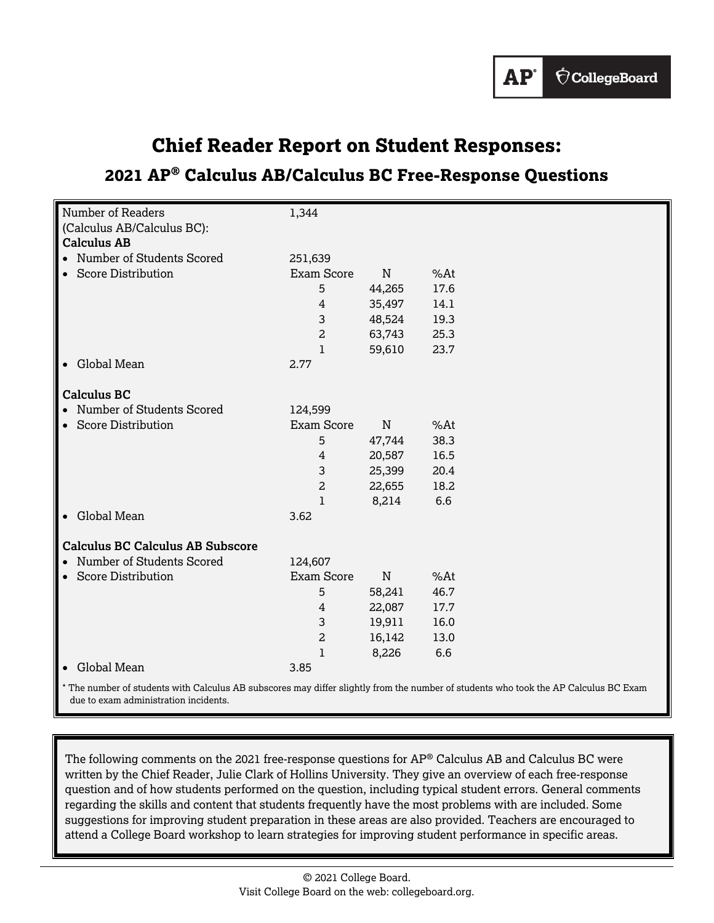

# **Chief Reader Report on Student Responses:**

## **2021 AP® Calculus AB/Calculus BC Free-Response Questions**

| Number of Readers                               | 1,344             |             |                                                                                    |
|-------------------------------------------------|-------------------|-------------|------------------------------------------------------------------------------------|
| (Calculus AB/Calculus BC):                      |                   |             |                                                                                    |
| <b>Calculus AB</b>                              |                   |             |                                                                                    |
| • Number of Students Scored                     | 251,639           |             |                                                                                    |
| • Score Distribution                            | <b>Exam Score</b> | N           | %At                                                                                |
|                                                 | 5                 | 44,265      | 17.6                                                                               |
|                                                 | 4                 | 35,497      | 14.1                                                                               |
|                                                 | 3                 | 48,524      | 19.3                                                                               |
|                                                 | $\overline{a}$    | 63,743      | 25.3                                                                               |
|                                                 | $\mathbf{1}$      | 59,610      | 23.7                                                                               |
| Global Mean                                     | 2.77              |             |                                                                                    |
|                                                 |                   |             |                                                                                    |
| <b>Calculus BC</b>                              |                   |             |                                                                                    |
| • Number of Students Scored                     | 124,599           |             |                                                                                    |
| • Score Distribution                            | Exam Score        | $\mathbf N$ | %At                                                                                |
|                                                 | 5                 | 47,744      | 38.3                                                                               |
|                                                 | 4                 | 20,587      | 16.5                                                                               |
|                                                 | 3                 | 25,399      | 20.4                                                                               |
|                                                 | $\overline{a}$    | 22,655      | 18.2                                                                               |
|                                                 | $\mathbf{1}$      | 8,214       | 6.6                                                                                |
| • Global Mean                                   | 3.62              |             |                                                                                    |
|                                                 |                   |             |                                                                                    |
| <b>Calculus BC Calculus AB Subscore</b>         |                   |             |                                                                                    |
| • Number of Students Scored                     | 124,607           |             |                                                                                    |
| • Score Distribution                            | Exam Score        | $\mathbf N$ | %At                                                                                |
|                                                 | 5                 | 58,241      | 46.7                                                                               |
|                                                 | 4                 | 22,087      | 17.7                                                                               |
|                                                 | 3                 | 19,911      | 16.0                                                                               |
|                                                 | $\overline{a}$    | 16,142      | 13.0                                                                               |
|                                                 | 1                 | 8,226       | 6.6                                                                                |
| • Global Mean                                   | 3.85              |             |                                                                                    |
| $*$ The number of students with Coloulus AD sub |                   |             | use may differed inhtly from the number of students who tools the AD Colsulus DC F |

The number of students with Calculus AB subscores may differ slightly from the number of students who took the AP Calculus BC Exam due to exam administration incidents.

The following comments on the 2021 free-response questions for AP® Calculus AB and Calculus BC were written by the Chief Reader, Julie Clark of Hollins University. They give an overview of each free-response question and of how students performed on the question, including typical student errors. General comments regarding the skills and content that students frequently have the most problems with are included. Some suggestions for improving student preparation in these areas are also provided. Teachers are encouraged to attend a College Board workshop to learn strategies for improving student performance in specific areas.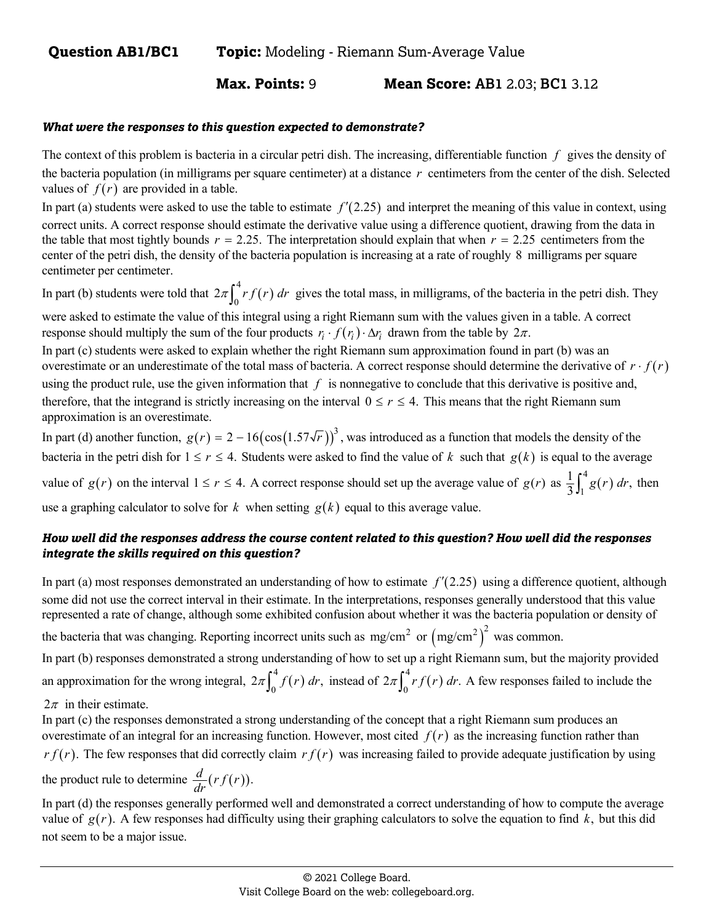**Max. Points:** 9 **Mean Score: AB1** 2.03; **BC1** 3.12

#### *What were the responses to this question expected to demonstrate?*

The context of this problem is bacteria in a circular petri dish. The increasing, differentiable function *f* gives the density of the bacteria population (in milligrams per square centimeter) at a distance *r* centimeters from the center of the dish. Selected values of  $f(r)$  are provided in a table.

In part (a) students were asked to use the table to estimate  $f'(2.25)$  and interpret the meaning of this value in context, using correct units. A correct response should estimate the derivative value using a difference quotient, drawing from the data in the table that most tightly bounds  $r = 2.25$ . The interpretation should explain that when  $r = 2.25$  centimeters from the center of the petri dish, the density of the bacteria population is increasing at a rate of roughly 8 milligrams per square centimeter per centimeter.

In part (b) students were told that  $2\pi \int_{a}^{4} rf(r)$  $2\pi \int_0^{\pi} rf(r) dr$  gives the total mass, in milligrams, of the bacteria in the petri dish. They

were asked to estimate the value of this integral using a right Riemann sum with the values given in a table. A correct response should multiply the sum of the four products  $r_i \cdot f(r_i) \cdot \Delta r_i$  drawn from the table by  $2\pi$ .

In part (c) students were asked to explain whether the right Riemann sum approximation found in part (b) was an overestimate or an underestimate of the total mass of bacteria. A correct response should determine the derivative of  $r \cdot f(r)$ using the product rule, use the given information that  $f$  is nonnegative to conclude that this derivative is positive and, therefore, that the integrand is strictly increasing on the interval  $0 \le r \le 4$ . This means that the right Riemann sum approximation is an overestimate.

In part (d) another function,  $g(r) = 2 - 16(\cos(1.57\sqrt{r}))^3$ , was introduced as a function that models the density of the bacteria in the petri dish for  $1 \le r \le 4$ . Students were asked to find the value of *k* such that  $g(k)$  is equal to the average value of  $g(r)$  on the interval  $1 \le r \le 4$ . A correct response should set up the average value of  $g(r)$  as  $\frac{1}{2} \int_{1}^{4} g(r)$  $\frac{1}{3} \int_{1}^{4} g(r) dr$ , then use a graphing calculator to solve for  $k$  when setting  $g(k)$  equal to this average value.

## *How well did the responses address the course content related to this question? How well did the responses integrate the skills required on this question?*

In part (a) most responses demonstrated an understanding of how to estimate  $f'(2.25)$  using a difference quotient, although some did not use the correct interval in their estimate. In the interpretations, responses generally understood that this value represented a rate of change, although some exhibited confusion about whether it was the bacteria population or density of

the bacteria that was changing. Reporting incorrect units such as  $mg/cm<sup>2</sup>$  or  $(mg/cm<sup>2</sup>)<sup>2</sup>$  was common.

In part (b) responses demonstrated a strong understanding of how to set up a right Riemann sum, but the majority provided an approximation for the wrong integral,  $2\pi \int_0^4 f(r) dr$ , instead of  $2\pi \int_0^4 rf(r)$  $2\pi \int_0^{\pi} r f(r) dr$ . A few responses failed to include the  $2\pi$  in their estimate.

In part (c) the responses demonstrated a strong understanding of the concept that a right Riemann sum produces an overestimate of an integral for an increasing function. However, most cited  $f(r)$  as the increasing function rather than  $rf(r)$ . The few responses that did correctly claim  $rf(r)$  was increasing failed to provide adequate justification by using the product rule to determine  $\frac{d}{dr}(rf(r))$ .

In part (d) the responses generally performed well and demonstrated a correct understanding of how to compute the average value of  $g(r)$ . A few responses had difficulty using their graphing calculators to solve the equation to find  $k$ , but this did not seem to be a major issue.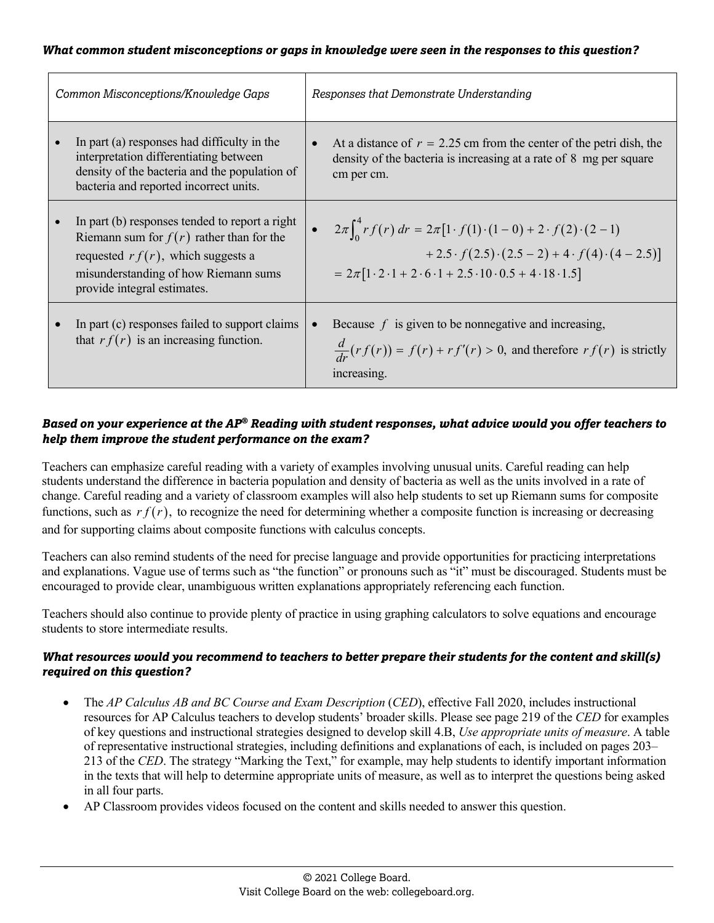| Common Misconceptions/Knowledge Gaps                                                                                                                                                                        | Responses that Demonstrate Understanding |                                                                                                                                                                                                                                                                                     |
|-------------------------------------------------------------------------------------------------------------------------------------------------------------------------------------------------------------|------------------------------------------|-------------------------------------------------------------------------------------------------------------------------------------------------------------------------------------------------------------------------------------------------------------------------------------|
| In part (a) responses had difficulty in the<br>interpretation differentiating between<br>density of the bacteria and the population of<br>bacteria and reported incorrect units.                            |                                          | At a distance of $r = 2.25$ cm from the center of the petri dish, the<br>density of the bacteria is increasing at a rate of 8 mg per square<br>cm per cm.                                                                                                                           |
| In part (b) responses tended to report a right<br>Riemann sum for $f(r)$ rather than for the<br>requested $rf(r)$ , which suggests a<br>misunderstanding of how Riemann sums<br>provide integral estimates. |                                          | • $2\pi \int_0^4 rf(r) dr = 2\pi [1 \cdot f(1) \cdot (1-0) + 2 \cdot f(2) \cdot (2-1)]$<br>+2.5 $\cdot f(2.5) \cdot (2.5 - 2) + 4 \cdot f(4) \cdot (4 - 2.5)$<br>$= 2\pi [1 \cdot 2 \cdot 1 + 2 \cdot 6 \cdot 1 + 2 \cdot 5 \cdot 10 \cdot 0 \cdot 5 + 4 \cdot 18 \cdot 1 \cdot 5]$ |
| In part (c) responses failed to support claims<br>that $rf(r)$ is an increasing function.                                                                                                                   |                                          | Because $f$ is given to be nonnegative and increasing,<br>$\frac{d}{dr}(rf(r)) = f(r) + rf'(r) > 0$ , and therefore $rf(r)$ is strictly<br>increasing.                                                                                                                              |

## *Based on your experience at the AP® Reading with student responses, what advice would you offer teachers to help them improve the student performance on the exam?*

Teachers can emphasize careful reading with a variety of examples involving unusual units. Careful reading can help students understand the difference in bacteria population and density of bacteria as well as the units involved in a rate of change. Careful reading and a variety of classroom examples will also help students to set up Riemann sums for composite functions, such as  $rf(r)$ , to recognize the need for determining whether a composite function is increasing or decreasing and for supporting claims about composite functions with calculus concepts.

Teachers can also remind students of the need for precise language and provide opportunities for practicing interpretations and explanations. Vague use of terms such as "the function" or pronouns such as "it" must be discouraged. Students must be encouraged to provide clear, unambiguous written explanations appropriately referencing each function.

Teachers should also continue to provide plenty of practice in using graphing calculators to solve equations and encourage students to store intermediate results.

- The *AP Calculus AB and BC Course and Exam Description (CED)*, effective Fall 2020, includes instructional resources for AP Calculus teachers to develop students' broader skills. Please see page 219 of the *CED* for examples of key questions and instructional strategies designed to develop skill 4.B, *Use appropriate units of measure*. A table of representative instructional strategies, including definitions and explanations of each, is included on pages 203– 213 of the *CED*. The strategy "Marking the Text," for example, may help students to identify important information in the texts that will help to determine appropriate units of measure, as well as to interpret the questions being asked in all four parts.
- AP Classroom provides videos focused on the content and skills needed to answer this question.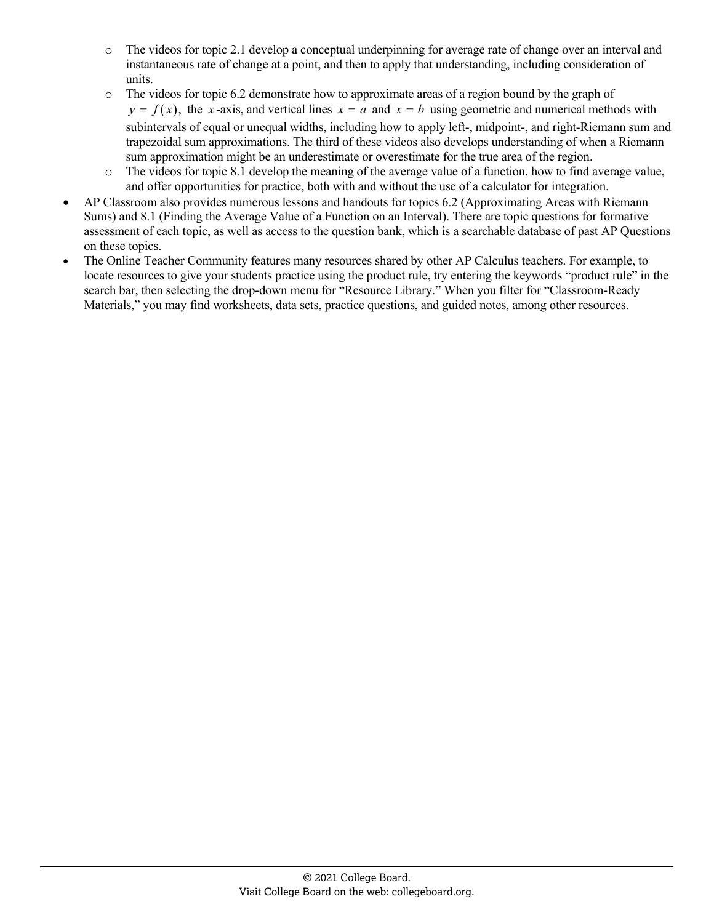- o The videos for topic 2.1 develop a conceptual underpinning for average rate of change over an interval and instantaneous rate of change at a point, and then to apply that understanding, including consideration of units.
- o The videos for topic 6.2 demonstrate how to approximate areas of a region bound by the graph of  $y = f(x)$ , the *x*-axis, and vertical lines  $x = a$  and  $x = b$  using geometric and numerical methods with subintervals of equal or unequal widths, including how to apply left-, midpoint-, and right-Riemann sum and trapezoidal sum approximations. The third of these videos also develops understanding of when a Riemann sum approximation might be an underestimate or overestimate for the true area of the region.
- o The videos for topic 8.1 develop the meaning of the average value of a function, how to find average value, and offer opportunities for practice, both with and without the use of a calculator for integration.
- AP Classroom also provides numerous lessons and handouts for topics 6.2 (Approximating Areas with Riemann Sums) and 8.1 (Finding the Average Value of a Function on an Interval). There are topic questions for formative assessment of each topic, as well as access to the question bank, which is a searchable database of past AP Questions on these topics.
- The Online Teacher Community features many resources shared by other AP Calculus teachers. For example, to locate resources to give your students practice using the product rule, try entering the keywords "product rule" in the search bar, then selecting the drop-down menu for "Resource Library." When you filter for "Classroom-Ready Materials," you may find worksheets, data sets, practice questions, and guided notes, among other resources.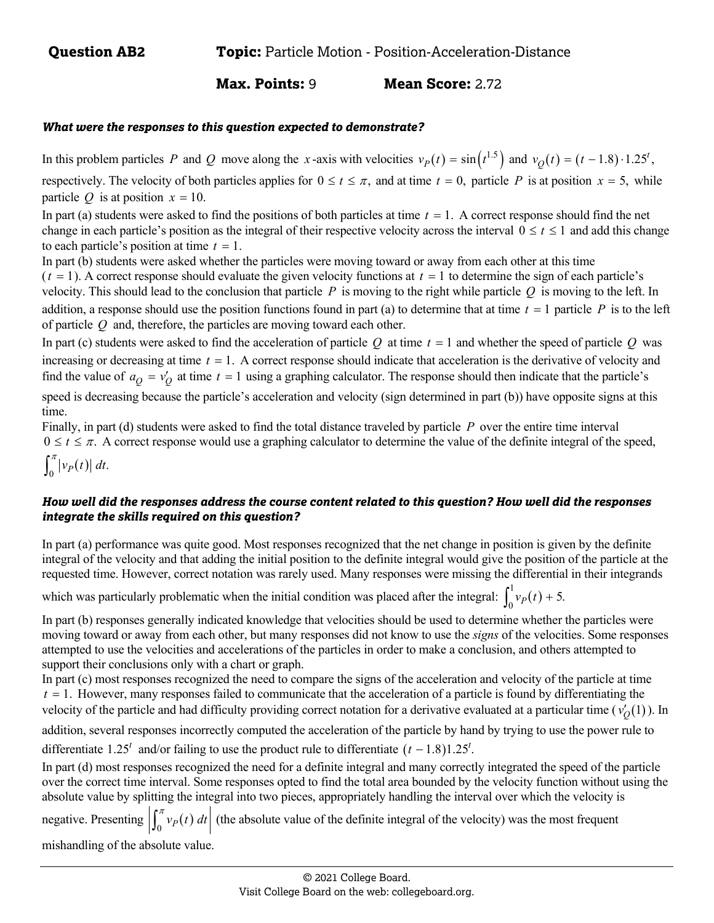**Max. Points:** 9 **Mean Score:** 2.72

#### *What were the responses to this question expected to demonstrate?*

In this problem particles *P* and *Q* move along the *x*-axis with velocities  $v_p(t) = \sin(t^{1.5})$  and  $v_o(t) = (t - 1.8) \cdot 1.25^t$ , respectively. The velocity of both particles applies for  $0 \le t \le \pi$ , and at time  $t = 0$ , particle P is at position  $x = 5$ , while particle *Q* is at position  $x = 10$ .

In part (a) students were asked to find the positions of both particles at time  $t = 1$ . A correct response should find the net change in each particle's position as the integral of their respective velocity across the interval  $0 \le t \le 1$  and add this change to each particle's position at time  $t = 1$ .

In part (b) students were asked whether the particles were moving toward or away from each other at this time

 $(t = 1)$ . A correct response should evaluate the given velocity functions at  $t = 1$  to determine the sign of each particle's velocity. This should lead to the conclusion that particle *P* is moving to the right while particle *Q* is moving to the left. In addition, a response should use the position functions found in part (a) to determine that at time  $t = 1$  particle  $P$  is to the left of particle *Q* and, therefore, the particles are moving toward each other.

In part (c) students were asked to find the acceleration of particle  $Q$  at time  $t = 1$  and whether the speed of particle  $Q$  was increasing or decreasing at time  $t = 1$ . A correct response should indicate that acceleration is the derivative of velocity and find the value of  $a_Q = v_Q'$  at time  $t = 1$  using a graphing calculator. The response should then indicate that the particle's speed is decreasing because the particle's acceleration and velocity (sign determined in part (b)) have opposite signs at this time.

Finally, in part (d) students were asked to find the total distance traveled by particle *P* over the entire time interval  $0 \le t \le \pi$ . A correct response would use a graphing calculator to determine the value of the definite integral of the speed,  $\int_0^\pi \left| v_p(t) \right| dt$ .

## *How well did the responses address the course content related to this question? How well did the responses integrate the skills required on this question?*

In part (a) performance was quite good. Most responses recognized that the net change in position is given by the definite integral of the velocity and that adding the initial position to the definite integral would give the position of the particle at the requested time. However, correct notation was rarely used. Many responses were missing the differential in their integrands

which was particularly problematic when the initial condition was placed after the integral:  $\int_{-\infty}^{1} v_p(t)$  $\int_0^1 v_P(t) + 5.$ 

In part (b) responses generally indicated knowledge that velocities should be used to determine whether the particles were moving toward or away from each other, but many responses did not know to use the *signs* of the velocities. Some responses attempted to use the velocities and accelerations of the particles in order to make a conclusion, and others attempted to support their conclusions only with a chart or graph.

In part (c) most responses recognized the need to compare the signs of the acceleration and velocity of the particle at time  $t = 1$ . However, many responses failed to communicate that the acceleration of a particle is found by differentiating the velocity of the particle and had difficulty providing correct notation for a derivative evaluated at a particular time  $(v'_0(1))$ . In

addition, several responses incorrectly computed the acceleration of the particle by hand by trying to use the power rule to

differentiate 1.25<sup>*t*</sup> and/or failing to use the product rule to differentiate  $(t - 1.8)1.25^t$ .

In part (d) most responses recognized the need for a definite integral and many correctly integrated the speed of the particle over the correct time interval. Some responses opted to find the total area bounded by the velocity function without using the absolute value by splitting the integral into two pieces, appropriately handling the interval over which the velocity is

negative. Presenting  $\left| \int_0^{\pi} v_P(t) dt \right|$  (the absolute value of the definite integral of the velocity) was the most frequent

mishandling of the absolute value.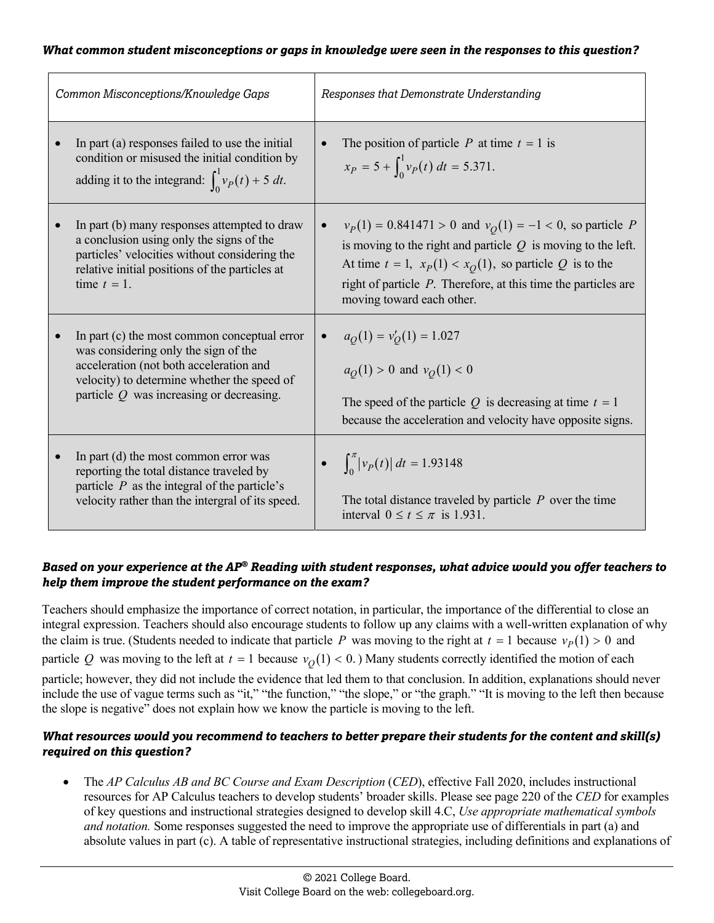| Common Misconceptions/Knowledge Gaps                                                                                                                                                                                         | Responses that Demonstrate Understanding                                                                                                                                                                                                                                                                        |
|------------------------------------------------------------------------------------------------------------------------------------------------------------------------------------------------------------------------------|-----------------------------------------------------------------------------------------------------------------------------------------------------------------------------------------------------------------------------------------------------------------------------------------------------------------|
| In part (a) responses failed to use the initial<br>$\bullet$<br>condition or misused the initial condition by<br>adding it to the integrand: $\int_0^1 v_P(t) + 5 dt$ .                                                      | The position of particle <i>P</i> at time $t = 1$ is<br>$\bullet$<br>$x_P = 5 + \int_0^1 v_P(t) dt = 5.371.$                                                                                                                                                                                                    |
| In part (b) many responses attempted to draw<br>a conclusion using only the signs of the<br>particles' velocities without considering the<br>relative initial positions of the particles at<br>time $t = 1$ .                | $v_P(1) = 0.841471 > 0$ and $v_Q(1) = -1 < 0$ , so particle P<br>$\bullet$<br>is moving to the right and particle $Q$ is moving to the left.<br>At time $t = 1$ , $x_P(1) < x_Q(1)$ , so particle Q is to the<br>right of particle $P$ . Therefore, at this time the particles are<br>moving toward each other. |
| In part (c) the most common conceptual error<br>was considering only the sign of the<br>acceleration (not both acceleration and<br>velocity) to determine whether the speed of<br>particle $Q$ was increasing or decreasing. | $a_O(1) = v'_O(1) = 1.027$<br>$\bullet$<br>$a_O(1) > 0$ and $v_O(1) < 0$<br>The speed of the particle Q is decreasing at time $t = 1$<br>because the acceleration and velocity have opposite signs.                                                                                                             |
| In part (d) the most common error was<br>reporting the total distance traveled by<br>particle $P$ as the integral of the particle's<br>velocity rather than the intergral of its speed.                                      | • $\int_0^{\pi}  v_P(t)  dt = 1.93148$<br>The total distance traveled by particle $P$ over the time<br>interval $0 \le t \le \pi$ is 1.931.                                                                                                                                                                     |

## *Based on your experience at the AP® Reading with student responses, what advice would you offer teachers to help them improve the student performance on the exam?*

Teachers should emphasize the importance of correct notation, in particular, the importance of the differential to close an integral expression. Teachers should also encourage students to follow up any claims with a well-written explanation of why the claim is true. (Students needed to indicate that particle *P* was moving to the right at  $t = 1$  because  $v_P(1) > 0$  and particle Q was moving to the left at  $t = 1$  because  $v<sub>O</sub>(1) < 0$ .) Many students correctly identified the motion of each particle; however, they did not include the evidence that led them to that conclusion. In addition, explanations should never include the use of vague terms such as "it," "the function," "the slope," or "the graph." "It is moving to the left then because the slope is negative" does not explain how we know the particle is moving to the left.

## *What resources would you recommend to teachers to better prepare their students for the content and skill(s) required on this question?*

The *AP Calculus AB and BC Course and Exam Description (CED)*, effective Fall 2020, includes instructional resources for AP Calculus teachers to develop students' broader skills. Please see page 220 of the *CED* for examples of key questions and instructional strategies designed to develop skill 4.C, *Use appropriate mathematical symbols and notation.* Some responses suggested the need to improve the appropriate use of differentials in part (a) and absolute values in part (c). A table of representative instructional strategies, including definitions and explanations of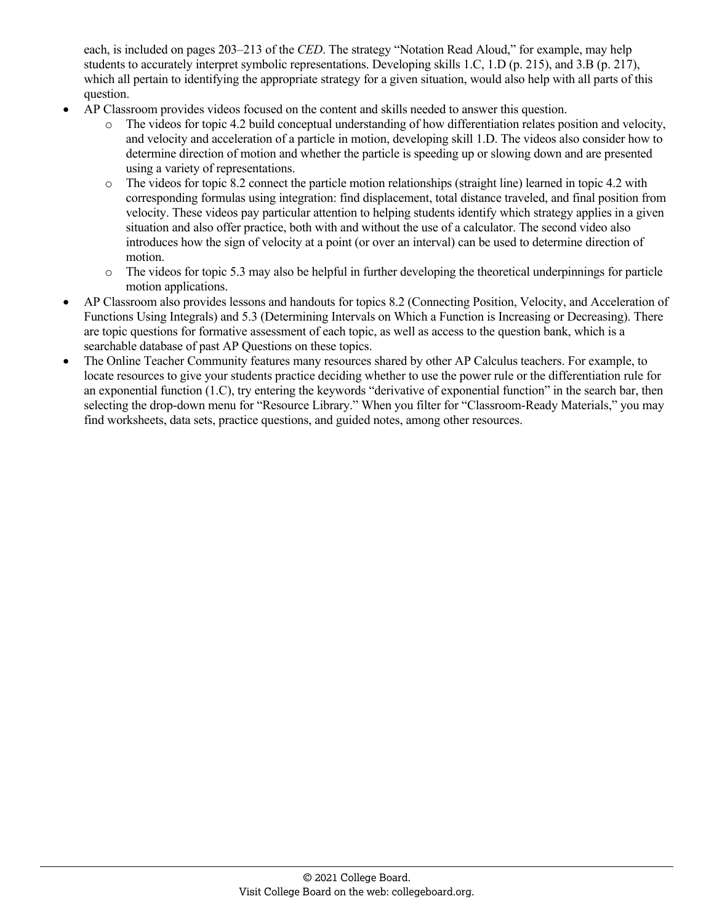each, is included on pages 203–213 of the *CED*. The strategy "Notation Read Aloud," for example, may help students to accurately interpret symbolic representations. Developing skills 1.C, 1.D (p. 215), and 3.B (p. 217), which all pertain to identifying the appropriate strategy for a given situation, would also help with all parts of this question.

- AP Classroom provides videos focused on the content and skills needed to answer this question.
	- o The videos for topic 4.2 build conceptual understanding of how differentiation relates position and velocity, and velocity and acceleration of a particle in motion, developing skill 1.D. The videos also consider how to determine direction of motion and whether the particle is speeding up or slowing down and are presented using a variety of representations.
	- o The videos for topic 8.2 connect the particle motion relationships (straight line) learned in topic 4.2 with corresponding formulas using integration: find displacement, total distance traveled, and final position from velocity. These videos pay particular attention to helping students identify which strategy applies in a given situation and also offer practice, both with and without the use of a calculator. The second video also introduces how the sign of velocity at a point (or over an interval) can be used to determine direction of motion.
	- o The videos for topic 5.3 may also be helpful in further developing the theoretical underpinnings for particle motion applications.
- AP Classroom also provides lessons and handouts for topics 8.2 (Connecting Position, Velocity, and Acceleration of Functions Using Integrals) and 5.3 (Determining Intervals on Which a Function is Increasing or Decreasing). There are topic questions for formative assessment of each topic, as well as access to the question bank, which is a searchable database of past AP Questions on these topics.
- The Online Teacher Community features many resources shared by other AP Calculus teachers. For example, to locate resources to give your students practice deciding whether to use the power rule or the differentiation rule for an exponential function (1.C), try entering the keywords "derivative of exponential function" in the search bar, then selecting the drop-down menu for "Resource Library." When you filter for "Classroom-Ready Materials," you may find worksheets, data sets, practice questions, and guided notes, among other resources.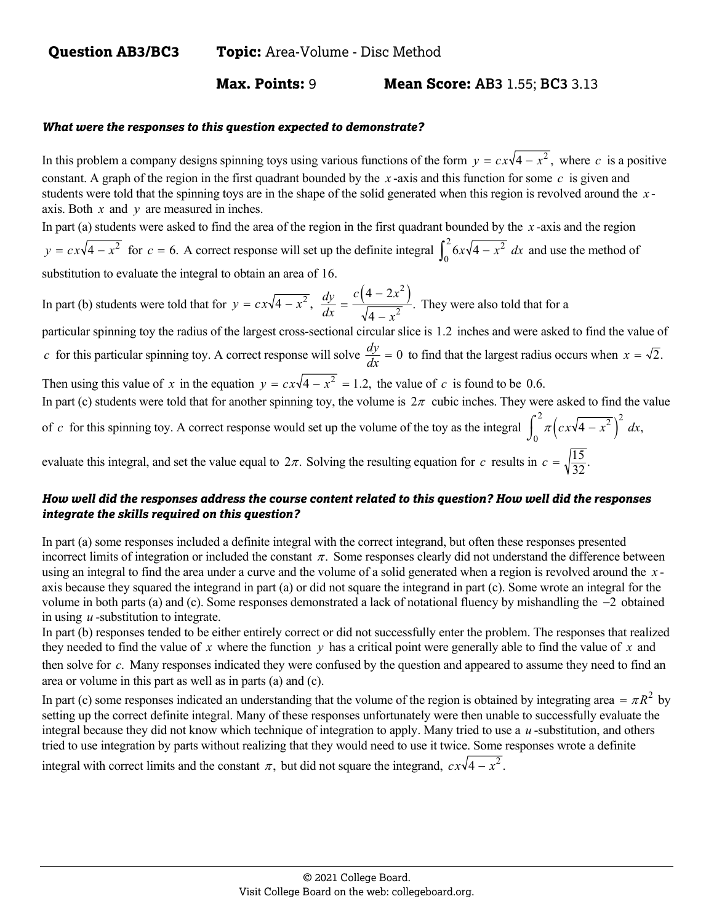## **Max. Points:** 9 **Mean Score: AB3** 1.55; **BC3** 3.13

#### *What were the responses to this question expected to demonstrate?*

In this problem a company designs spinning toys using various functions of the form  $y = c\frac{x}{4} - x^2$ , where *c* is a positive constant. A graph of the region in the first quadrant bounded by the *x* -axis and this function for some *c* is given and students were told that the spinning toys are in the shape of the solid generated when this region is revolved around the *x* axis. Both *x* and *y* are measured in inches.

In part (a) students were asked to find the area of the region in the first quadrant bounded by the *x* -axis and the region  $y = cx\sqrt{4-x^2}$  for  $c = 6$ . A correct response will set up the definite integral  $\int_{0}^{2} 6x\sqrt{4-x^2}$  $\int_0^2 6x\sqrt{4-x^2} dx$  and use the method of substitution to evaluate the integral to obtain an area of 16.

In part (b) students were told that for  $y = cx\sqrt{4 - x^2}$ ,  $\frac{dy}{dx} = \frac{c(4 - 2x^2)}{\sqrt{4 - x^2}}$ .  $\frac{dy}{dx} = \frac{c(4-2x^2)}{\sqrt{4-x^2}}$ . They were also told that for a

particular spinning toy the radius of the largest cross-sectional circular slice is 1.2 inches and were asked to find the value of *c* for this particular spinning toy. A correct response will solve  $\frac{dy}{dx} = 0$  to find that the largest radius occurs when  $x = \sqrt{2}$ .

Then using this value of *x* in the equation  $y = c \cdot x \sqrt{4 - x^2} = 1.2$ , the value of *c* is found to be 0.6.

In part (c) students were told that for another spinning toy, the volume is  $2\pi$  cubic inches. They were asked to find the value

of *c* for this spinning toy. A correct response would set up the volume of the toy as the integral  $\int_0^2 \pi (cx\sqrt{4-x^2})^2 dx$ , evaluate this integral, and set the value equal to  $2\pi$ . Solving the resulting equation for *c* results in  $c = \sqrt{\frac{15}{32}}$ .

#### *How well did the responses address the course content related to this question? How well did the responses integrate the skills required on this question?*

In part (a) some responses included a definite integral with the correct integrand, but often these responses presented incorrect limits of integration or included the constant  $\pi$ . Some responses clearly did not understand the difference between using an integral to find the area under a curve and the volume of a solid generated when a region is revolved around the *x* axis because they squared the integrand in part (a) or did not square the integrand in part (c). Some wrote an integral for the volume in both parts (a) and (c). Some responses demonstrated a lack of notational fluency by mishandling the  $-2$  obtained in using *u* -substitution to integrate.

In part (b) responses tended to be either entirely correct or did not successfully enter the problem. The responses that realized they needed to find the value of *x* where the function *y* has a critical point were generally able to find the value of *x* and then solve for *c*. Many responses indicated they were confused by the question and appeared to assume they need to find an area or volume in this part as well as in parts (a) and (c).

In part (c) some responses indicated an understanding that the volume of the region is obtained by integrating area =  $\pi R^2$  by setting up the correct definite integral. Many of these responses unfortunately were then unable to successfully evaluate the integral because they did not know which technique of integration to apply. Many tried to use a *u* -substitution, and others tried to use integration by parts without realizing that they would need to use it twice. Some responses wrote a definite

integral with correct limits and the constant  $\pi$ , but did not square the integrand,  $c\dot{x}\sqrt{4-x^2}$ .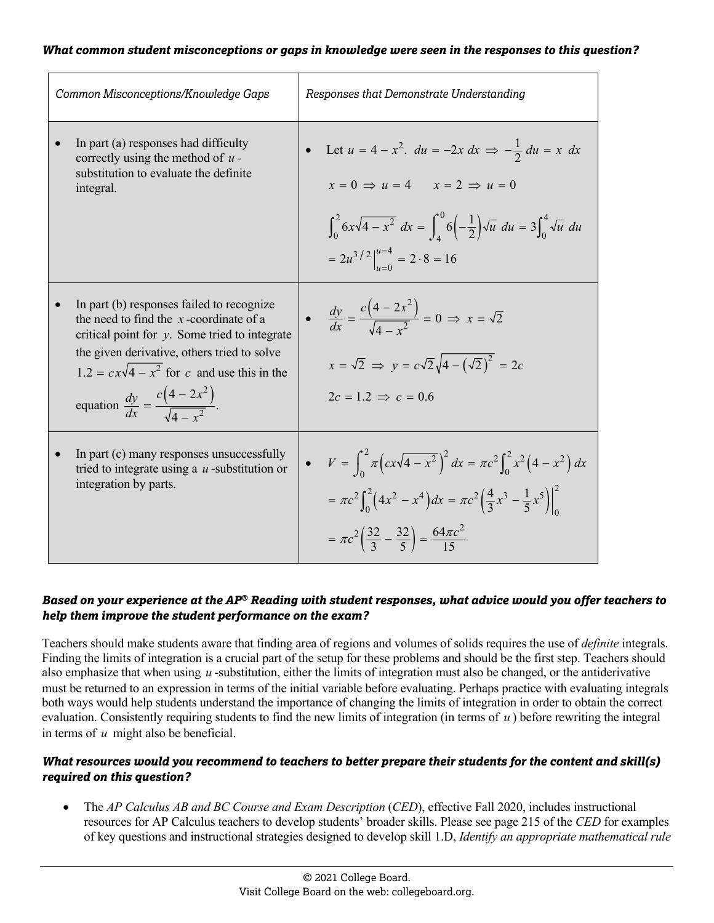| Common Misconceptions/Knowledge Gaps                                                                                                                                                                                                                                                                                  | Responses that Demonstrate Understanding                                                                                                                                             |
|-----------------------------------------------------------------------------------------------------------------------------------------------------------------------------------------------------------------------------------------------------------------------------------------------------------------------|--------------------------------------------------------------------------------------------------------------------------------------------------------------------------------------|
| In part (a) responses had difficulty                                                                                                                                                                                                                                                                                  | • Let $u = 4 - x^2$ , $du = -2x dx \implies -\frac{1}{2} du = x dx$                                                                                                                  |
| correctly using the method of $u$ -                                                                                                                                                                                                                                                                                   | $x = 0 \implies u = 4$ $x = 2 \implies u = 0$                                                                                                                                        |
| substitution to evaluate the definite                                                                                                                                                                                                                                                                                 | $\int_0^2 6x\sqrt{4-x^2} \ dx = \int_0^0 6\left(-\frac{1}{2}\right)\sqrt{u} \ du = 3\int_0^4 \sqrt{u} \ du$                                                                          |
| integral.                                                                                                                                                                                                                                                                                                             | $= 2u^{3/2}\Big _{u=0}^{u=4} = 2\cdot 8 = 16$                                                                                                                                        |
| In part (b) responses failed to recognize<br>the need to find the $x$ -coordinate of a<br>critical point for $y$ . Some tried to integrate<br>the given derivative, others tried to solve<br>$1.2 = c \times \sqrt{4 - x^2}$ for c and use this in the<br>equation $\frac{dy}{dx} = \frac{c(4-2x^2)}{\sqrt{4-x^2}}$ . | • $\frac{dy}{dx} = \frac{c(4-2x^2)}{\sqrt{4-x^2}} = 0 \implies x = \sqrt{2}$<br>$x = \sqrt{2} \Rightarrow y = c\sqrt{2}\sqrt{4-(\sqrt{2})^2} = 2c$<br>$2c = 1.2 \Rightarrow c = 0.6$ |
| In part (c) many responses unsuccessfully                                                                                                                                                                                                                                                                             | • $V = \int_{0}^{2} \pi (cx\sqrt{4-x^2})^2 dx = \pi c^2 \int_{0}^{2} x^2 (4-x^2) dx$                                                                                                 |
| tried to integrate using a $u$ -substitution or                                                                                                                                                                                                                                                                       | $=\pi c^2 \int_0^2 \left(4x^2 - x^4\right) dx = \pi c^2 \left(\frac{4}{3}x^3 - \frac{1}{5}x^5\right)\Big _0^2$                                                                       |
| integration by parts.                                                                                                                                                                                                                                                                                                 | $=\pi c^2 \left(\frac{32}{3} - \frac{32}{5}\right) = \frac{64\pi c^2}{15}$                                                                                                           |

#### *Based on your experience at the AP® Reading with student responses, what advice would you offer teachers to help them improve the student performance on the exam?*

Teachers should make students aware that finding area of regions and volumes of solids requires the use of *definite* integrals. Finding the limits of integration is a crucial part of the setup for these problems and should be the first step. Teachers should also emphasize that when using *u* -substitution, either the limits of integration must also be changed, or the antiderivative must be returned to an expression in terms of the initial variable before evaluating. Perhaps practice with evaluating integrals both ways would help students understand the importance of changing the limits of integration in order to obtain the correct evaluation. Consistently requiring students to find the new limits of integration (in terms of *u* ) before rewriting the integral in terms of *u* might also be beneficial.

## *What resources would you recommend to teachers to better prepare their students for the content and skill(s) required on this question?*

• The *AP Calculus AB and BC Course and Exam Description (CED)*, effective Fall 2020, includes instructional resources for AP Calculus teachers to develop students' broader skills. Please see page 215 of the *CED* for examples of key questions and instructional strategies designed to develop skill 1.D, *Identify an appropriate mathematical rule*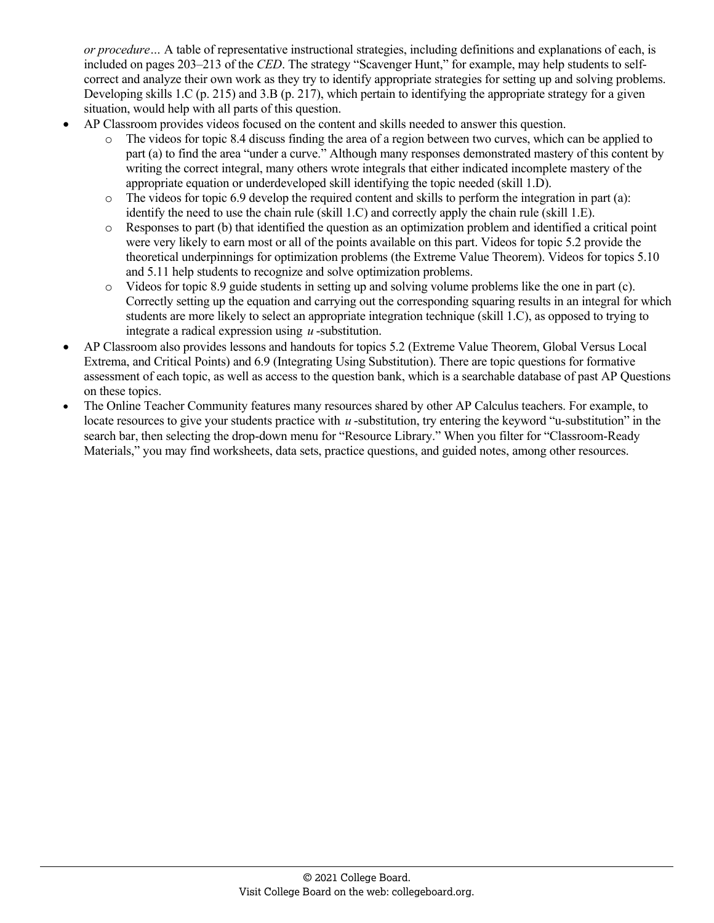*or procedure…* A table of representative instructional strategies, including definitions and explanations of each, is included on pages 203–213 of the *CED*. The strategy "Scavenger Hunt," for example, may help students to selfcorrect and analyze their own work as they try to identify appropriate strategies for setting up and solving problems. Developing skills 1.C (p. 215) and 3.B (p. 217), which pertain to identifying the appropriate strategy for a given situation, would help with all parts of this question.

- AP Classroom provides videos focused on the content and skills needed to answer this question.
	- o The videos for topic 8.4 discuss finding the area of a region between two curves, which can be applied to part (a) to find the area "under a curve." Although many responses demonstrated mastery of this content by writing the correct integral, many others wrote integrals that either indicated incomplete mastery of the appropriate equation or underdeveloped skill identifying the topic needed (skill 1.D).
	- $\circ$  The videos for topic 6.9 develop the required content and skills to perform the integration in part (a): identify the need to use the chain rule (skill 1.C) and correctly apply the chain rule (skill 1.E).
	- $\circ$  Responses to part (b) that identified the question as an optimization problem and identified a critical point were very likely to earn most or all of the points available on this part. Videos for topic 5.2 provide the theoretical underpinnings for optimization problems (the Extreme Value Theorem). Videos for topics 5.10 and 5.11 help students to recognize and solve optimization problems.
	- $\circ$  Videos for topic 8.9 guide students in setting up and solving volume problems like the one in part (c). Correctly setting up the equation and carrying out the corresponding squaring results in an integral for which students are more likely to select an appropriate integration technique (skill 1.C), as opposed to trying to integrate a radical expression using *u* -substitution.
- AP Classroom also provides lessons and handouts for topics 5.2 (Extreme Value Theorem, Global Versus Local Extrema, and Critical Points) and 6.9 (Integrating Using Substitution). There are topic questions for formative assessment of each topic, as well as access to the question bank, which is a searchable database of past AP Questions on these topics.
- The Online Teacher Community features many resources shared by other AP Calculus teachers. For example, to locate resources to give your students practice with *u* -substitution, try entering the keyword "u-substitution" in the search bar, then selecting the drop-down menu for "Resource Library." When you filter for "Classroom-Ready Materials," you may find worksheets, data sets, practice questions, and guided notes, among other resources.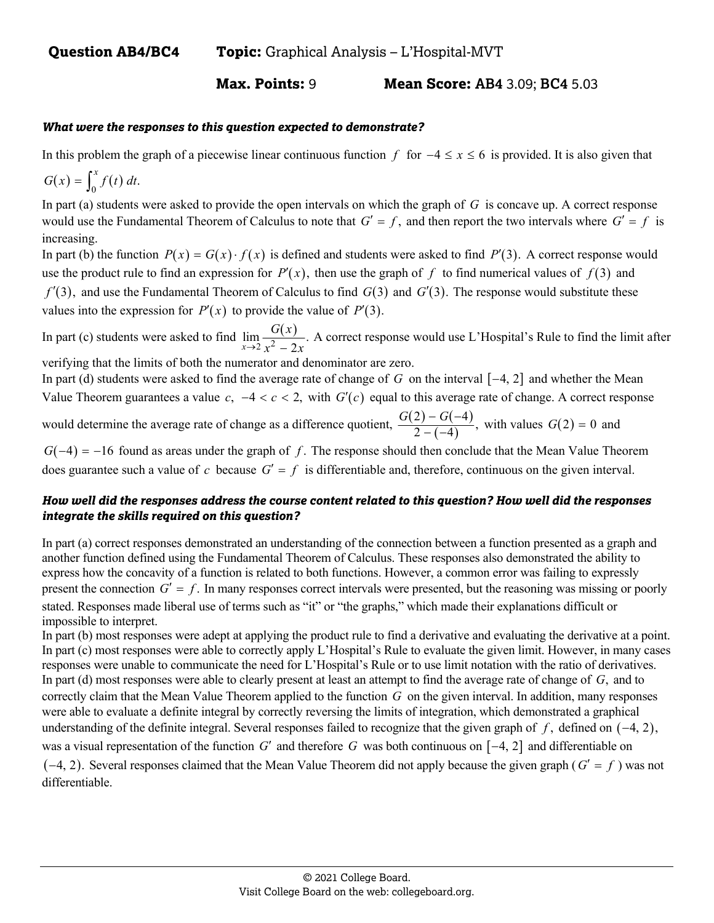**Max. Points:** 9 **Mean Score: AB4** 3.09; **BC4** 5.03

#### *What were the responses to this question expected to demonstrate?*

In this problem the graph of a piecewise linear continuous function f for  $-4 \le x \le 6$  is provided. It is also given that

$$
G(x) = \int_0^x f(t) \, dt.
$$

In part (a) students were asked to provide the open intervals on which the graph of *G* is concave up. A correct response would use the Fundamental Theorem of Calculus to note that  $G' = f$ , and then report the two intervals where  $G' = f$  is increasing.

In part (b) the function  $P(x) = G(x) \cdot f(x)$  is defined and students were asked to find  $P'(3)$ . A correct response would use the product rule to find an expression for  $P'(x)$ , then use the graph of f to find numerical values of  $f(3)$  and  $f'(3)$ , and use the Fundamental Theorem of Calculus to find  $G(3)$  and  $G'(3)$ . The response would substitute these values into the expression for  $P'(x)$  to provide the value of  $P'(3)$ .

In part (c) students were asked to find  $\lim_{x\to 2} \frac{G(x)}{x^2-2x}$ .  $x \rightarrow 2 x^2 - 2$  $G(x)$  $\rightarrow$  2  $x^2$  – 2x A correct response would use L'Hospital's Rule to find the limit after verifying that the limits of both the numerator and denominator are zero.

In part (d) students were asked to find the average rate of change of  $G$  on the interval  $[-4, 2]$  and whether the Mean Value Theorem guarantees a value  $c$ ,  $-4 < c < 2$ , with  $G'(c)$  equal to this average rate of change. A correct response would determine the average rate of change as a difference quotient,  $\frac{G(2) - G(-4)}{2 - (-4)}$ , with values  $G(2) = 0$  and

 $G(-4) = -16$  found as areas under the graph of f. The response should then conclude that the Mean Value Theorem does guarantee such a value of *c* because  $G' = f$  is differentiable and, therefore, continuous on the given interval.

## *How well did the responses address the course content related to this question? How well did the responses integrate the skills required on this question?*

In part (a) correct responses demonstrated an understanding of the connection between a function presented as a graph and another function defined using the Fundamental Theorem of Calculus. These responses also demonstrated the ability to express how the concavity of a function is related to both functions. However, a common error was failing to expressly present the connection  $G' = f$ . In many responses correct intervals were presented, but the reasoning was missing or poorly stated. Responses made liberal use of terms such as "it" or "the graphs," which made their explanations difficult or impossible to interpret.

In part (b) most responses were adept at applying the product rule to find a derivative and evaluating the derivative at a point. In part (c) most responses were able to correctly apply L'Hospital's Rule to evaluate the given limit. However, in many cases responses were unable to communicate the need for L'Hospital's Rule or to use limit notation with the ratio of derivatives. In part (d) most responses were able to clearly present at least an attempt to find the average rate of change of *G*, and to correctly claim that the Mean Value Theorem applied to the function *G* on the given interval. In addition, many responses were able to evaluate a definite integral by correctly reversing the limits of integration, which demonstrated a graphical understanding of the definite integral. Several responses failed to recognize that the given graph of  $f$ , defined on  $(-4, 2)$ , was a visual representation of the function  $G'$  and therefore  $G$  was both continuous on  $[-4, 2]$  and differentiable on  $(-4, 2)$ . Several responses claimed that the Mean Value Theorem did not apply because the given graph ( $G' = f$ ) was not differentiable.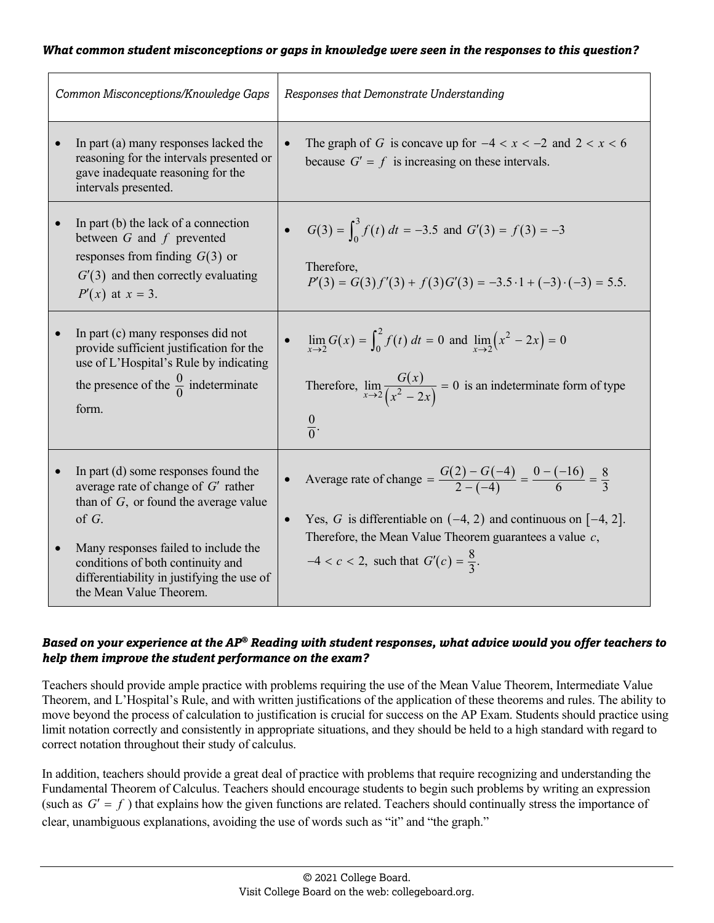| Common Misconceptions/Knowledge Gaps                                                                                                                                                                                                                                                                     | Responses that Demonstrate Understanding                                                                                                                                                                                                                                              |
|----------------------------------------------------------------------------------------------------------------------------------------------------------------------------------------------------------------------------------------------------------------------------------------------------------|---------------------------------------------------------------------------------------------------------------------------------------------------------------------------------------------------------------------------------------------------------------------------------------|
| In part (a) many responses lacked the<br>reasoning for the intervals presented or<br>gave inadequate reasoning for the<br>intervals presented.                                                                                                                                                           | The graph of G is concave up for $-4 < x < -2$ and $2 < x < 6$<br>because $G' = f$ is increasing on these intervals.                                                                                                                                                                  |
| In part (b) the lack of a connection<br>$\bullet$<br>between $G$ and $f$ prevented<br>responses from finding $G(3)$ or<br>$G'(3)$ and then correctly evaluating<br>$P'(x)$ at $x = 3$ .                                                                                                                  | • $G(3) = \int_0^3 f(t) dt = -3.5$ and $G'(3) = f(3) = -3$<br>Therefore,<br>$P'(3) = G(3) f'(3) + f(3) G'(3) = -3.5 \cdot 1 + (-3) \cdot (-3) = 5.5.$                                                                                                                                 |
| In part (c) many responses did not<br>$\bullet$<br>provide sufficient justification for the<br>use of L'Hospital's Rule by indicating<br>the presence of the $\frac{0}{0}$ indeterminate<br>form.                                                                                                        | $\lim_{x\to 2} G(x) = \int_0^2 f(t) dt = 0$ and $\lim_{x\to 2} (x^2 - 2x) = 0$<br>Therefore, $\lim_{x\to 2} \frac{G(x)}{(x^2-2x)} = 0$ is an indeterminate form of type<br>$\frac{0}{0}$ .                                                                                            |
| In part (d) some responses found the<br>average rate of change of $G'$ rather<br>than of $G$ , or found the average value<br>of $G$ .<br>Many responses failed to include the<br>$\bullet$<br>conditions of both continuity and<br>differentiability in justifying the use of<br>the Mean Value Theorem. | Average rate of change = $\frac{G(2) - G(-4)}{2 - (-4)} = \frac{0 - (-16)}{6} = \frac{8}{3}$<br>Yes, G is differentiable on $(-4, 2)$ and continuous on $[-4, 2]$ .<br>Therefore, the Mean Value Theorem guarantees a value $c$ ,<br>$-4 < c < 2$ , such that $G'(c) = \frac{8}{3}$ . |

## *Based on your experience at the AP® Reading with student responses, what advice would you offer teachers to help them improve the student performance on the exam?*

Teachers should provide ample practice with problems requiring the use of the Mean Value Theorem, Intermediate Value Theorem, and L'Hospital's Rule, and with written justifications of the application of these theorems and rules. The ability to move beyond the process of calculation to justification is crucial for success on the AP Exam. Students should practice using limit notation correctly and consistently in appropriate situations, and they should be held to a high standard with regard to correct notation throughout their study of calculus.

In addition, teachers should provide a great deal of practice with problems that require recognizing and understanding the Fundamental Theorem of Calculus. Teachers should encourage students to begin such problems by writing an expression (such as  $G' = f$ ) that explains how the given functions are related. Teachers should continually stress the importance of clear, unambiguous explanations, avoiding the use of words such as "it" and "the graph."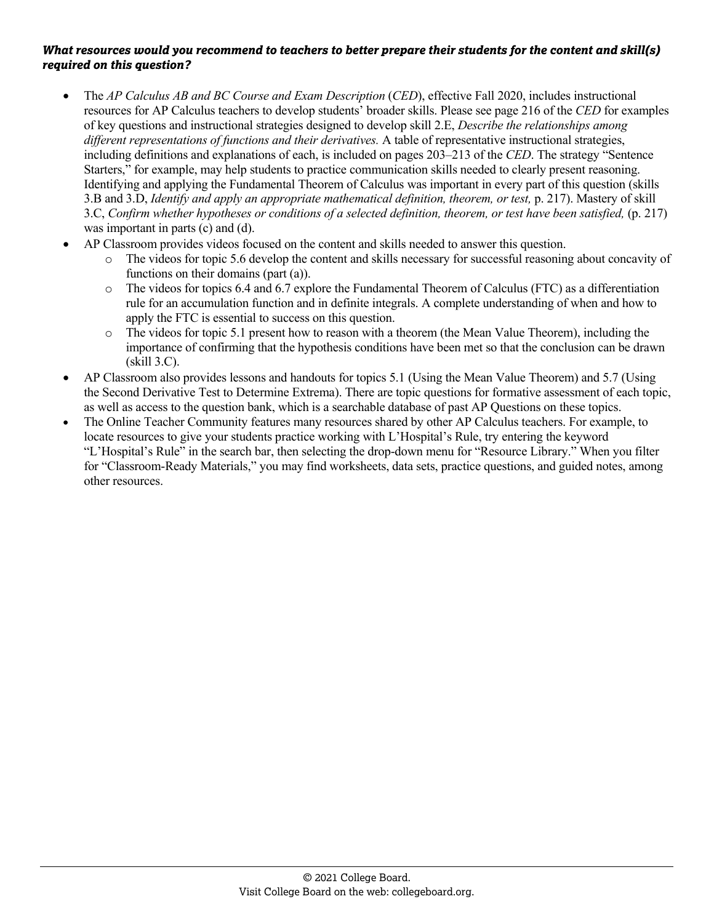- The *AP Calculus AB and BC Course and Exam Description (CED)*, effective Fall 2020, includes instructional resources for AP Calculus teachers to develop students' broader skills. Please see page 216 of the *CED* for examples of key questions and instructional strategies designed to develop skill 2.E, *Describe the relationships among different representations of functions and their derivatives.* A table of representative instructional strategies, including definitions and explanations of each, is included on pages 203–213 of the *CED*. The strategy "Sentence Starters," for example, may help students to practice communication skills needed to clearly present reasoning. Identifying and applying the Fundamental Theorem of Calculus was important in every part of this question (skills 3.B and 3.D, *Identify and apply an appropriate mathematical definition, theorem, or test,* p. 217). Mastery of skill 3.C, *Confirm whether hypotheses or conditions of a selected definition, theorem, or test have been satisfied,* (p. 217) was important in parts (c) and (d).
- AP Classroom provides videos focused on the content and skills needed to answer this question.
	- The videos for topic 5.6 develop the content and skills necessary for successful reasoning about concavity of functions on their domains (part (a)).
	- o The videos for topics 6.4 and 6.7 explore the Fundamental Theorem of Calculus (FTC) as a differentiation rule for an accumulation function and in definite integrals. A complete understanding of when and how to apply the FTC is essential to success on this question.
	- o The videos for topic 5.1 present how to reason with a theorem (the Mean Value Theorem), including the importance of confirming that the hypothesis conditions have been met so that the conclusion can be drawn (skill 3.C).
- AP Classroom also provides lessons and handouts for topics 5.1 (Using the Mean Value Theorem) and 5.7 (Using the Second Derivative Test to Determine Extrema). There are topic questions for formative assessment of each topic, as well as access to the question bank, which is a searchable database of past AP Questions on these topics.
- The Online Teacher Community features many resources shared by other AP Calculus teachers. For example, to locate resources to give your students practice working with L'Hospital's Rule, try entering the keyword "L'Hospital's Rule" in the search bar, then selecting the drop-down menu for "Resource Library." When you filter for "Classroom-Ready Materials," you may find worksheets, data sets, practice questions, and guided notes, among other resources.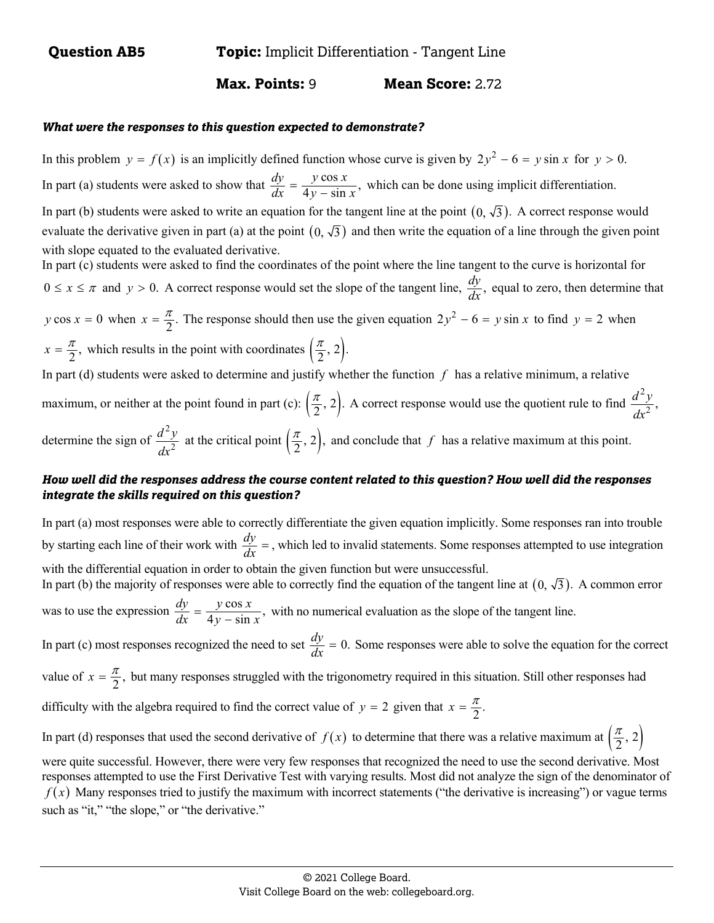## **Max. Points: 9 Mean Score: 2.72**

#### *What were the responses to this question expected to demonstrate?*

In this problem  $y = f(x)$  is an implicitly defined function whose curve is given by  $2y^2 - 6 = y \sin x$  for  $y > 0$ . In part (a) students were asked to show that  $\frac{dy}{dx} = \frac{y \cos x}{4y - \sin x}$ , which can be done using implicit differentiation. In part (b) students were asked to write an equation for the tangent line at the point  $(0, \sqrt{3})$ . A correct response would evaluate the derivative given in part (a) at the point  $(0, \sqrt{3})$  and then write the equation of a line through the given point with slope equated to the evaluated derivative. In part (c) students were asked to find the coordinates of the point where the line tangent to the curve is horizontal for  $0 \le x \le \pi$  and  $y > 0$ . A correct response would set the slope of the tangent line,  $\frac{dy}{dx}$ , equal to zero, then determine that *y* cos  $x = 0$  when  $x = \frac{\pi}{2}$ . The response should then use the given equation  $2y^2 - 6 = y \sin x$  to find  $y = 2$  when

 $x = \frac{\pi}{2}$ , which results in the point with coordinates  $(\frac{\pi}{2}, 2)$ . In part (d) students were asked to determine and justify whether the function *f* has a relative minimum, a relative maximum, or neither at the point found in part (c):  $(\frac{\pi}{2}, 2)$ . A correct response would use the quotient rule to find  $\frac{d^2y}{dx^2}$ , determine the sign of 2 2  $\frac{d^2y}{dx^2}$  at the critical point  $(\frac{\pi}{2}, 2)$ , and conclude that *f* has a relative maximum at this point.

#### *How well did the responses address the course content related to this question? How well did the responses integrate the skills required on this question?*

In part (a) most responses were able to correctly differentiate the given equation implicitly. Some responses ran into trouble by starting each line of their work with  $\frac{dy}{dx}$  =, which led to invalid statements. Some responses attempted to use integration with the differential equation in order to obtain the given function but were unsuccessful. In part (b) the majority of responses were able to correctly find the equation of the tangent line at  $(0, \sqrt{3})$ . A common error was to use the expression  $\frac{dy}{dx} = \frac{y \cos x}{4y - \sin x}$ , with no numerical evaluation as the slope of the tangent line. In part (c) most responses recognized the need to set  $\frac{dy}{dx} = 0$ . Some responses were able to solve the equation for the correct value of  $x = \frac{\pi}{2}$ , but many responses struggled with the trigonometry required in this situation. Still other responses had difficulty with the algebra required to find the correct value of  $y = 2$  given that  $x = \frac{\pi}{2}$ . In part (d) responses that used the second derivative of  $f(x)$  to determine that there was a relative maximum at  $\left(\frac{\pi}{2}, 2\right)$ were quite successful. However, there were very few responses that recognized the need to use the second derivative. Most

responses attempted to use the First Derivative Test with varying results. Most did not analyze the sign of the denominator of  $f(x)$  Many responses tried to justify the maximum with incorrect statements ("the derivative is increasing") or vague terms such as "it," "the slope," or "the derivative."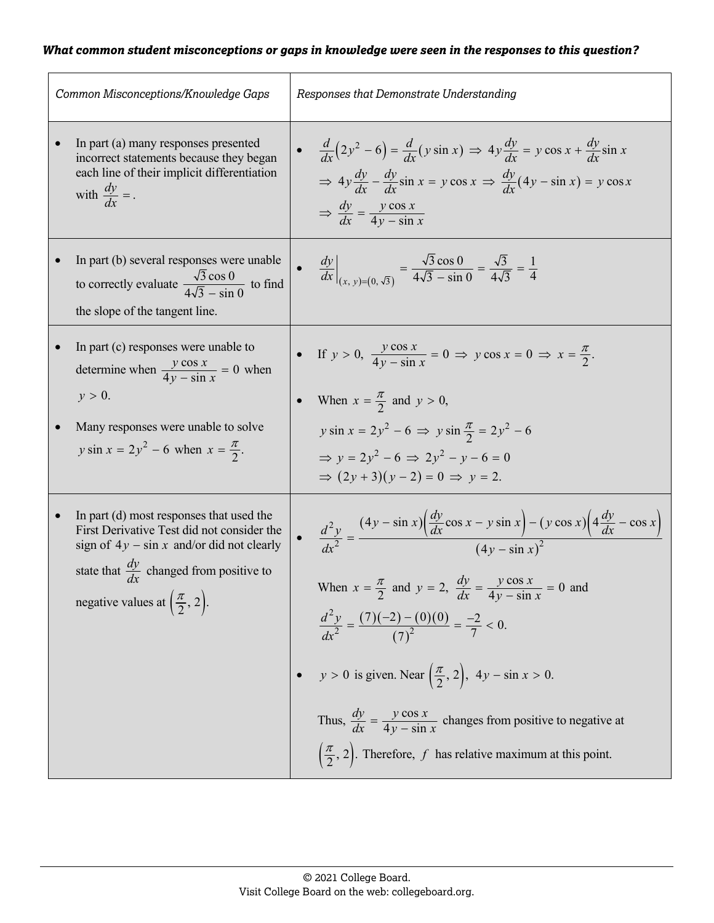|           | Common Misconceptions/Knowledge Gaps                                                                                                                                                                                                                  | Responses that Demonstrate Understanding                                                                                                                                                                                                                                                                                                                                                                                                                                                                                                                                                              |  |
|-----------|-------------------------------------------------------------------------------------------------------------------------------------------------------------------------------------------------------------------------------------------------------|-------------------------------------------------------------------------------------------------------------------------------------------------------------------------------------------------------------------------------------------------------------------------------------------------------------------------------------------------------------------------------------------------------------------------------------------------------------------------------------------------------------------------------------------------------------------------------------------------------|--|
| $\bullet$ | In part (a) many responses presented<br>incorrect statements because they began<br>each line of their implicit differentiation<br>with $\frac{dy}{dx}$ = .                                                                                            | • $rac{d}{dx}(2y^2-6) = \frac{d}{dx}(y \sin x) \Rightarrow 4y \frac{dy}{dx} = y \cos x + \frac{dy}{dx} \sin x$<br>$\Rightarrow 4y \frac{dy}{dx} - \frac{dy}{dx} \sin x = y \cos x \Rightarrow \frac{dy}{dx} (4y - \sin x) = y \cos x$<br>$\Rightarrow \frac{dy}{dx} = \frac{y \cos x}{4y - \sin x}$                                                                                                                                                                                                                                                                                                   |  |
|           | In part (b) several responses were unable<br>to correctly evaluate $\frac{\sqrt{3} \cos 0}{4\sqrt{3} - \sin 0}$ to find<br>the slope of the tangent line.                                                                                             | • $\frac{dy}{dx}\Big _{(x, y)=(0, \sqrt{3})} = \frac{\sqrt{3}\cos 0}{4\sqrt{3} - \sin 0} = \frac{\sqrt{3}}{4\sqrt{3}} = \frac{1}{4}$                                                                                                                                                                                                                                                                                                                                                                                                                                                                  |  |
|           | In part (c) responses were unable to<br>determine when $\frac{y \cos x}{4y - \sin x} = 0$ when<br>$y > 0$ .                                                                                                                                           | • If $y > 0$ , $\frac{y \cos x}{4y - \sin x} = 0 \Rightarrow y \cos x = 0 \Rightarrow x = \frac{\pi}{2}$ .<br>• When $x = \frac{\pi}{2}$ and $y > 0$ ,                                                                                                                                                                                                                                                                                                                                                                                                                                                |  |
|           | Many responses were unable to solve<br><i>y</i> sin $x = 2y^2 - 6$ when $x = \frac{\pi}{2}$ .                                                                                                                                                         | $y \sin x = 2y^2 - 6 \implies y \sin \frac{\pi}{2} = 2y^2 - 6$<br>$\Rightarrow v = 2y^2 - 6 \Rightarrow 2y^2 - y - 6 = 0$<br>$\Rightarrow (2y+3)(y-2) = 0 \Rightarrow y = 2.$                                                                                                                                                                                                                                                                                                                                                                                                                         |  |
|           | In part (d) most responses that used the<br>First Derivative Test did not consider the<br>sign of $4y - \sin x$ and/or did not clearly<br>state that $\frac{dy}{dx}$ changed from positive to<br>negative values at $\left(\frac{\pi}{2}, 2\right)$ . | $\frac{d^2y}{dx^2} = \frac{(4y - \sin x)\left(\frac{dy}{dx}\cos x - y\sin x\right) - (y\cos x)\left(4\frac{dy}{dx} - \cos x\right)}{(4y - \sin x)^2}$<br>When $x = \frac{\pi}{2}$ and $y = 2$ , $\frac{dy}{dx} = \frac{y \cos x}{4y - \sin x} = 0$ and<br>$\frac{d^2y}{dx^2} = \frac{(7)(-2) - (0)(0)}{(7)^2} = \frac{-2}{7} < 0.$<br>$y > 0$ is given. Near $\left(\frac{\pi}{2}, 2\right)$ , $4y - \sin x > 0$ .<br>Thus, $\frac{dy}{dx} = \frac{y \cos x}{4y - \sin x}$ changes from positive to negative at<br>$\left(\frac{\pi}{2}, 2\right)$ . Therefore, f has relative maximum at this point. |  |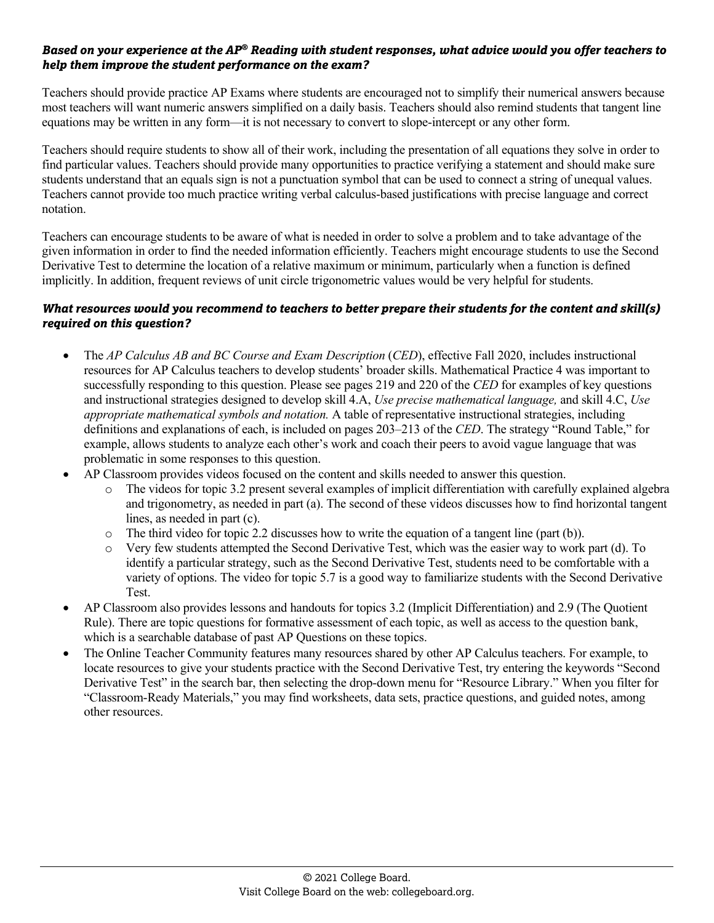## *Based on your experience at the AP® Reading with student responses, what advice would you offer teachers to help them improve the student performance on the exam?*

Teachers should provide practice AP Exams where students are encouraged not to simplify their numerical answers because most teachers will want numeric answers simplified on a daily basis. Teachers should also remind students that tangent line equations may be written in any form—it is not necessary to convert to slope-intercept or any other form.

Teachers should require students to show all of their work, including the presentation of all equations they solve in order to find particular values. Teachers should provide many opportunities to practice verifying a statement and should make sure students understand that an equals sign is not a punctuation symbol that can be used to connect a string of unequal values. Teachers cannot provide too much practice writing verbal calculus-based justifications with precise language and correct notation.

Teachers can encourage students to be aware of what is needed in order to solve a problem and to take advantage of the given information in order to find the needed information efficiently. Teachers might encourage students to use the Second Derivative Test to determine the location of a relative maximum or minimum, particularly when a function is defined implicitly. In addition, frequent reviews of unit circle trigonometric values would be very helpful for students.

- The *AP Calculus AB and BC Course and Exam Description (CED)*, effective Fall 2020, includes instructional resources for AP Calculus teachers to develop students' broader skills. Mathematical Practice 4 was important to successfully responding to this question. Please see pages 219 and 220 of the *CED* for examples of key questions and instructional strategies designed to develop skill 4.A, *Use precise mathematical language,* and skill 4.C, *Use appropriate mathematical symbols and notation.* A table of representative instructional strategies, including definitions and explanations of each, is included on pages 203–213 of the *CED*. The strategy "Round Table," for example, allows students to analyze each other's work and coach their peers to avoid vague language that was problematic in some responses to this question.
- AP Classroom provides videos focused on the content and skills needed to answer this question.
	- o The videos for topic 3.2 present several examples of implicit differentiation with carefully explained algebra and trigonometry, as needed in part (a). The second of these videos discusses how to find horizontal tangent lines, as needed in part (c).
	- $\circ$  The third video for topic 2.2 discusses how to write the equation of a tangent line (part (b)).
	- o Very few students attempted the Second Derivative Test, which was the easier way to work part (d). To identify a particular strategy, such as the Second Derivative Test, students need to be comfortable with a variety of options. The video for topic 5.7 is a good way to familiarize students with the Second Derivative Test.
- AP Classroom also provides lessons and handouts for topics 3.2 (Implicit Differentiation) and 2.9 (The Quotient Rule). There are topic questions for formative assessment of each topic, as well as access to the question bank, which is a searchable database of past AP Questions on these topics.
- The Online Teacher Community features many resources shared by other AP Calculus teachers. For example, to locate resources to give your students practice with the Second Derivative Test, try entering the keywords "Second Derivative Test" in the search bar, then selecting the drop-down menu for "Resource Library." When you filter for "Classroom-Ready Materials," you may find worksheets, data sets, practice questions, and guided notes, among other resources.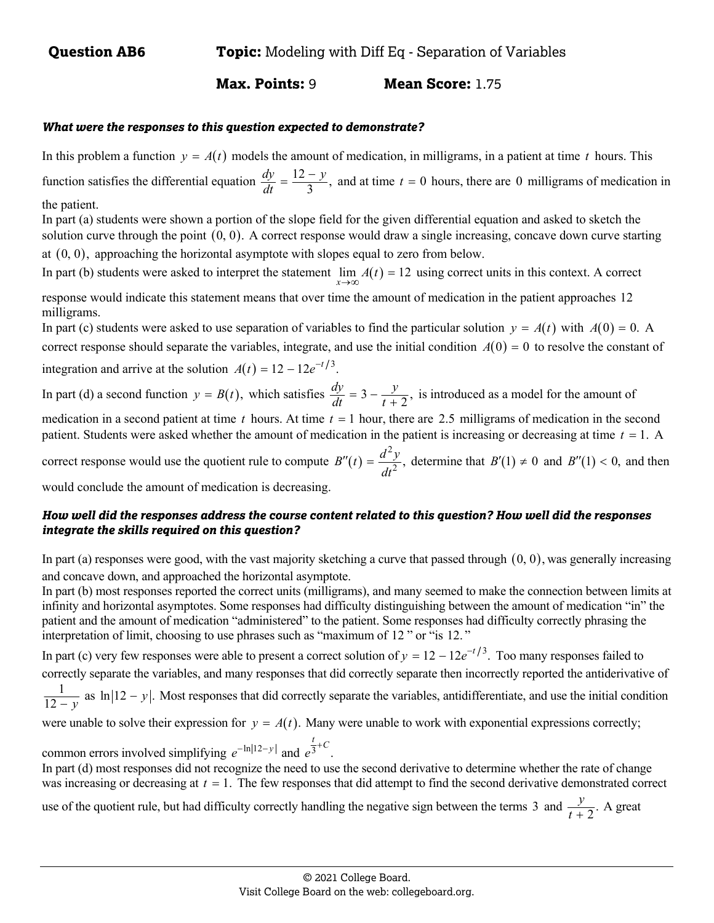## **Max. Points:** 9 **Mean Score:** 1.75

#### *What were the responses to this question expected to demonstrate?*

In this problem a function  $y = A(t)$  models the amount of medication, in milligrams, in a patient at time t hours. This function satisfies the differential equation  $\frac{dy}{dt} = \frac{12 - y}{3}$ ,  $\frac{dy}{dt} = \frac{12 - y}{3}$ , and at time  $t = 0$  hours, there are 0 milligrams of medication in the patient.

In part (a) students were shown a portion of the slope field for the given differential equation and asked to sketch the solution curve through the point  $(0, 0)$ . A correct response would draw a single increasing, concave down curve starting at  $(0, 0)$ , approaching the horizontal asymptote with slopes equal to zero from below.

In part (b) students were asked to interpret the statement  $\lim_{x\to\infty} A(t) = 12$  using correct units in this context. A correct

response would indicate this statement means that over time the amount of medication in the patient approaches 12 milligrams.

In part (c) students were asked to use separation of variables to find the particular solution  $y = A(t)$  with  $A(0) = 0$ . A correct response should separate the variables, integrate, and use the initial condition  $A(0) = 0$  to resolve the constant of integration and arrive at the solution  $A(t) = 12 - 12e^{-t/3}$ .

In part (d) a second function  $y = B(t)$ , which satisfies  $\frac{dy}{dt} = 3 - \frac{y}{t+2}$ , is introduced as a model for the amount of

medication in a second patient at time  $t$  hours. At time  $t = 1$  hour, there are 2.5 milligrams of medication in the second patient. Students were asked whether the amount of medication in the patient is increasing or decreasing at time  $t = 1$ . A

correct response would use the quotient rule to compute  $B''(t)$  $B''(t) = \frac{d^2y}{dt^2}$ , determine that  $B'(1) \neq 0$  and  $B''(1) < 0$ , and then

would conclude the amount of medication is decreasing.

## *How well did the responses address the course content related to this question? How well did the responses integrate the skills required on this question?*

In part (a) responses were good, with the vast majority sketching a curve that passed through  $(0, 0)$ , was generally increasing and concave down, and approached the horizontal asymptote.

In part (b) most responses reported the correct units (milligrams), and many seemed to make the connection between limits at infinity and horizontal asymptotes. Some responses had difficulty distinguishing between the amount of medication "in" the patient and the amount of medication "administered" to the patient. Some responses had difficulty correctly phrasing the interpretation of limit, choosing to use phrases such as "maximum of 12 " or "is 12. "

In part (c) very few responses were able to present a correct solution of  $y = 12 - 12e^{-t/3}$ . Too many responses failed to correctly separate the variables, and many responses that did correctly separate then incorrectly reported the antiderivative of

1  $\frac{1}{12-y}$  as  $\ln|12-y|$ . Most responses that did correctly separate the variables, antidifferentiate, and use the initial condition

were unable to solve their expression for  $y = A(t)$ . Many were unable to work with exponential expressions correctly;

common errors involved simplifying  $e^{-\ln |12 - y|}$  and  $e^{\frac{t}{3} + C}$ .

In part (d) most responses did not recognize the need to use the second derivative to determine whether the rate of change was increasing or decreasing at  $t = 1$ . The few responses that did attempt to find the second derivative demonstrated correct

use of the quotient rule, but had difficulty correctly handling the negative sign between the terms 3 and  $\frac{y}{t+2}$ . A great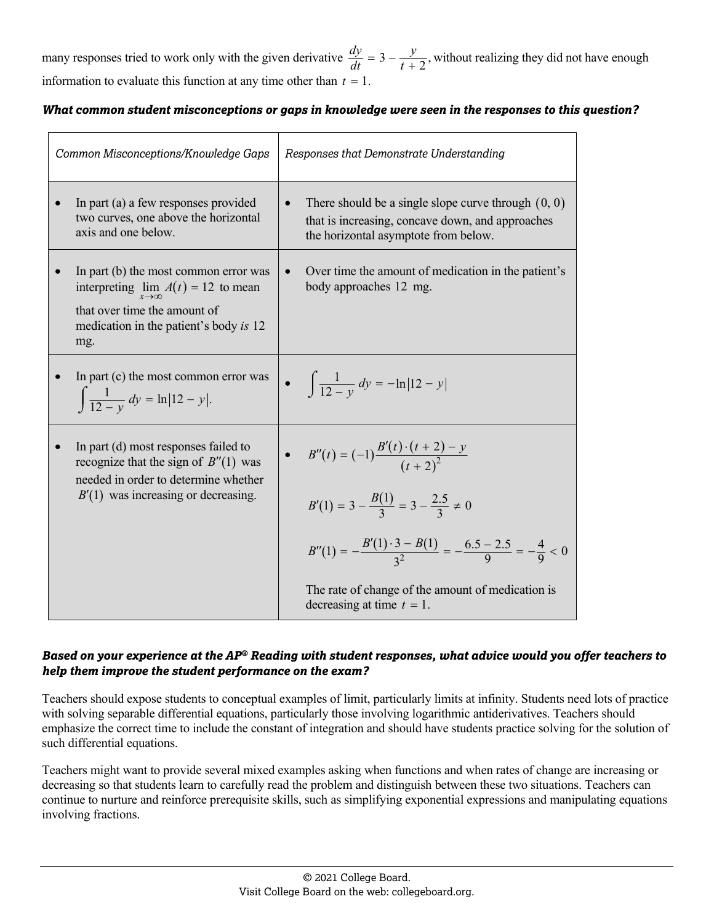many responses tried to work only with the given derivative  $\frac{dy}{dt} = 3 - \frac{y}{t+2}$ , without realizing they did not have enough information to evaluate this function at any time other than  $t = 1$ .

#### *What common student misconceptions or gaps in knowledge were seen in the responses to this question?*

| Common Misconceptions/Knowledge Gaps                                                                                                                                           | Responses that Demonstrate Understanding                                                                                                                                                                                                                        |
|--------------------------------------------------------------------------------------------------------------------------------------------------------------------------------|-----------------------------------------------------------------------------------------------------------------------------------------------------------------------------------------------------------------------------------------------------------------|
| In part (a) a few responses provided<br>two curves, one above the horizontal<br>axis and one below.                                                                            | There should be a single slope curve through $(0, 0)$<br>that is increasing, concave down, and approaches<br>the horizontal asymptote from below.                                                                                                               |
| In part (b) the most common error was<br>interpreting $\lim_{x \to \infty} A(t) = 12$ to mean<br>that over time the amount of<br>medication in the patient's body is 12<br>mg. | Over time the amount of medication in the patient's<br>$\bullet$<br>body approaches 12 mg.                                                                                                                                                                      |
| In part (c) the most common error was<br>$\int \frac{1}{12 - y} dy = \ln  12 - y .$                                                                                            | • $\int \frac{1}{12 - y} dy = -\ln  12 - y $                                                                                                                                                                                                                    |
| In part (d) most responses failed to<br>recognize that the sign of $B''(1)$ was<br>needed in order to determine whether<br>$B'(1)$ was increasing or decreasing.               | • $B''(t) = (-1)\frac{B'(t) \cdot (t+2) - y}{(t+2)^2}$<br>$B'(1) = 3 - \frac{B(1)}{3} = 3 - \frac{2.5}{3} \neq 0$<br>$B''(1) = -\frac{B'(1)\cdot 3 - B(1)}{2^2} = -\frac{6.5 - 2.5}{9} = -\frac{4}{9} < 0$<br>The rate of change of the amount of medication is |
|                                                                                                                                                                                | decreasing at time $t = 1$ .                                                                                                                                                                                                                                    |

## *Based on your experience at the AP® Reading with student responses, what advice would you offer teachers to help them improve the student performance on the exam?*

Teachers should expose students to conceptual examples of limit, particularly limits at infinity. Students need lots of practice with solving separable differential equations, particularly those involving logarithmic antiderivatives. Teachers should emphasize the correct time to include the constant of integration and should have students practice solving for the solution of such differential equations.

Teachers might want to provide several mixed examples asking when functions and when rates of change are increasing or decreasing so that students learn to carefully read the problem and distinguish between these two situations. Teachers can continue to nurture and reinforce prerequisite skills, such as simplifying exponential expressions and manipulating equations involving fractions.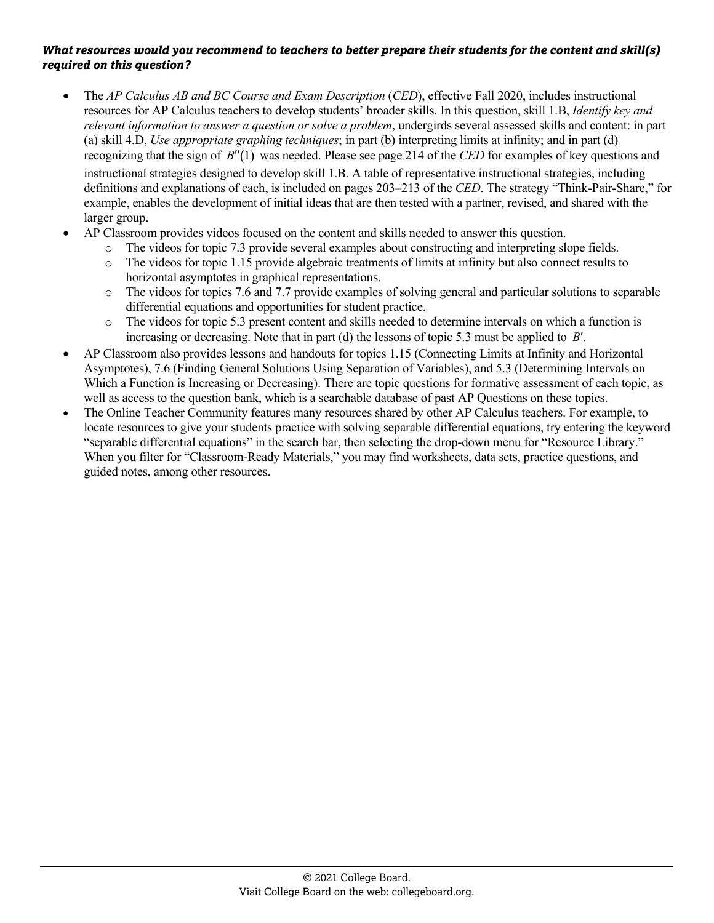- The *AP Calculus AB and BC Course and Exam Description (CED)*, effective Fall 2020, includes instructional resources for AP Calculus teachers to develop students' broader skills. In this question, skill 1.B, *Identify key and relevant information to answer a question or solve a problem*, undergirds several assessed skills and content: in part (a) skill 4.D, *Use appropriate graphing techniques*; in part (b) interpreting limits at infinity; and in part (d) recognizing that the sign of *B*<sup> $\prime\prime$ </sup>(1) was needed. Please see page 214 of the *CED* for examples of key questions and instructional strategies designed to develop skill 1.B. A table of representative instructional strategies, including definitions and explanations of each, is included on pages 203–213 of the *CED*. The strategy "Think-Pair-Share," for example, enables the development of initial ideas that are then tested with a partner, revised, and shared with the larger group.
- AP Classroom provides videos focused on the content and skills needed to answer this question.
	- o The videos for topic 7.3 provide several examples about constructing and interpreting slope fields.
	- o The videos for topic 1.15 provide algebraic treatments of limits at infinity but also connect results to horizontal asymptotes in graphical representations.
	- o The videos for topics 7.6 and 7.7 provide examples of solving general and particular solutions to separable differential equations and opportunities for student practice.
	- o The videos for topic 5.3 present content and skills needed to determine intervals on which a function is increasing or decreasing. Note that in part (d) the lessons of topic 5.3 must be applied to *B*.
- AP Classroom also provides lessons and handouts for topics 1.15 (Connecting Limits at Infinity and Horizontal Asymptotes), 7.6 (Finding General Solutions Using Separation of Variables), and 5.3 (Determining Intervals on Which a Function is Increasing or Decreasing). There are topic questions for formative assessment of each topic, as well as access to the question bank, which is a searchable database of past AP Questions on these topics.
- The Online Teacher Community features many resources shared by other AP Calculus teachers. For example, to locate resources to give your students practice with solving separable differential equations, try entering the keyword "separable differential equations" in the search bar, then selecting the drop-down menu for "Resource Library." When you filter for "Classroom-Ready Materials," you may find worksheets, data sets, practice questions, and guided notes, among other resources.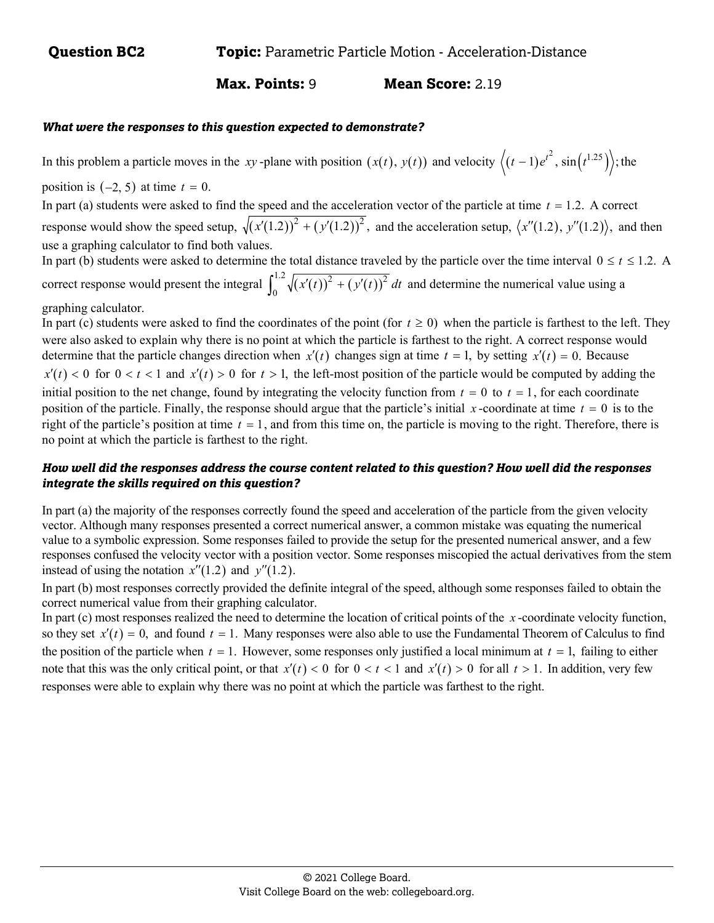## **Max. Points:** 9 **Mean Score:** 2.19

#### *What were the responses to this question expected to demonstrate?*

In this problem a particle moves in the *xy*-plane with position  $(x(t), y(t))$  and velocity  $\left\langle (t-1)e^{t^2}, \sin(t^{1.25}) \right\rangle$ ; the

position is  $(-2, 5)$  at time  $t = 0$ .

In part (a) students were asked to find the speed and the acceleration vector of the particle at time  $t = 1.2$ . A correct response would show the speed setup,  $\sqrt{(x'(1.2))^2 + (y'(1.2))^2}$ , and the acceleration setup,  $\langle x''(1.2), y''(1.2) \rangle$ , and then use a graphing calculator to find both values.

In part (b) students were asked to determine the total distance traveled by the particle over the time interval  $0 \le t \le 1.2$ . A correct response would present the integral  $\int_0^{1.2} \sqrt{(x'(t))^2 + (y'(t))^2} dt$  and determine the numerical value using a graphing calculator.

In part (c) students were asked to find the coordinates of the point (for  $t \ge 0$ ) when the particle is farthest to the left. They were also asked to explain why there is no point at which the particle is farthest to the right. A correct response would determine that the particle changes direction when  $x'(t)$  changes sign at time  $t = 1$ , by setting  $x'(t) = 0$ . Because  $x'(t) < 0$  for  $0 < t < 1$  and  $x'(t) > 0$  for  $t > 1$ , the left-most position of the particle would be computed by adding the initial position to the net change, found by integrating the velocity function from  $t = 0$  to  $t = 1$ , for each coordinate position of the particle. Finally, the response should argue that the particle's initial  $x$ -coordinate at time  $t = 0$  is to the right of the particle's position at time  $t = 1$ , and from this time on, the particle is moving to the right. Therefore, there is no point at which the particle is farthest to the right.

## *How well did the responses address the course content related to this question? How well did the responses integrate the skills required on this question?*

In part (a) the majority of the responses correctly found the speed and acceleration of the particle from the given velocity vector. Although many responses presented a correct numerical answer, a common mistake was equating the numerical value to a symbolic expression. Some responses failed to provide the setup for the presented numerical answer, and a few responses confused the velocity vector with a position vector. Some responses miscopied the actual derivatives from the stem instead of using the notation  $x''(1.2)$  and  $y''(1.2)$ .

In part (b) most responses correctly provided the definite integral of the speed, although some responses failed to obtain the correct numerical value from their graphing calculator.

In part (c) most responses realized the need to determine the location of critical points of the *x* -coordinate velocity function, so they set  $x'(t) = 0$ , and found  $t = 1$ . Many responses were also able to use the Fundamental Theorem of Calculus to find the position of the particle when  $t = 1$ . However, some responses only justified a local minimum at  $t = 1$ , failing to either note that this was the only critical point, or that  $x'(t) < 0$  for  $0 < t < 1$  and  $x'(t) > 0$  for all  $t > 1$ . In addition, very few responses were able to explain why there was no point at which the particle was farthest to the right.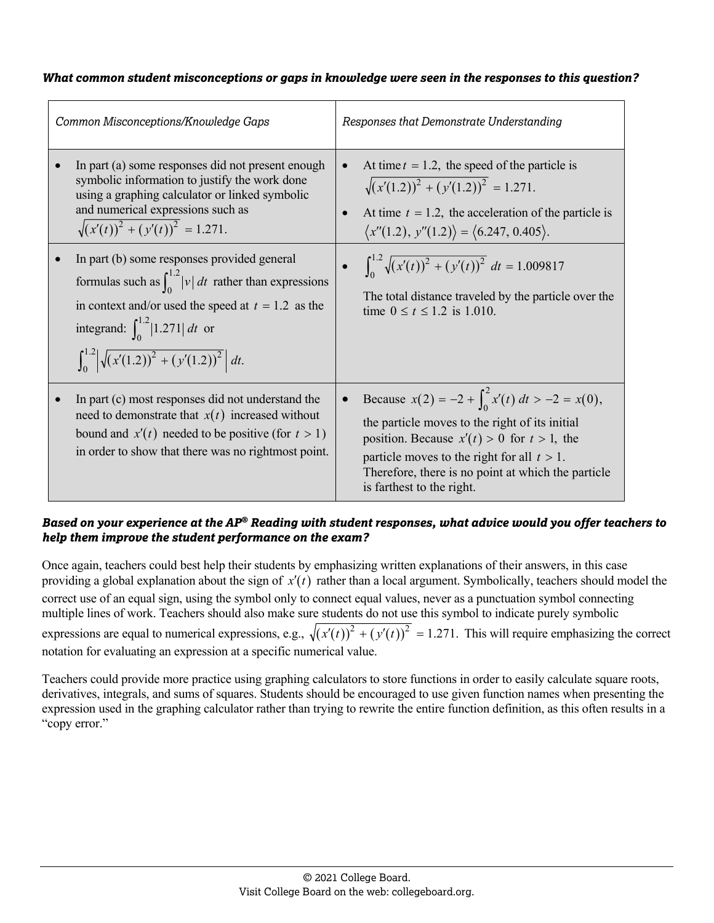| Common Misconceptions/Knowledge Gaps |                                                                                                                                                                                                                                                                                          | Responses that Demonstrate Understanding                                                                                                                                                                                                                                                                    |  |
|--------------------------------------|------------------------------------------------------------------------------------------------------------------------------------------------------------------------------------------------------------------------------------------------------------------------------------------|-------------------------------------------------------------------------------------------------------------------------------------------------------------------------------------------------------------------------------------------------------------------------------------------------------------|--|
|                                      | In part (a) some responses did not present enough<br>symbolic information to justify the work done<br>using a graphing calculator or linked symbolic<br>and numerical expressions such as<br>$\sqrt{(x'(t))^2 + (y'(t))^2} = 1.271.$                                                     | At time $t = 1.2$ , the speed of the particle is<br>$\bullet$<br>$\sqrt{(x'(1.2))^2 + (y'(1.2))^2} = 1.271.$<br>At time $t = 1.2$ , the acceleration of the particle is<br>$\langle x''(1.2), y''(1.2) \rangle = \langle 6.247, 0.405 \rangle.$                                                             |  |
|                                      | In part (b) some responses provided general<br>formulas such as $\int_0^{1.2}  v  dt$ rather than expressions<br>in context and/or used the speed at $t = 1.2$ as the<br>integrand: $\int_{0}^{1.2}  1.271  dt$ or<br>$\int_0^{1.2} \left  \sqrt{(x'(1.2))^2 + (y'(1.2))^2} \right  dt.$ | $\int_0^{1.2} \sqrt{(x'(t))^2 + (y'(t))^2} dt = 1.009817$<br>The total distance traveled by the particle over the<br>time $0 \le t \le 1.2$ is 1.010.                                                                                                                                                       |  |
|                                      | In part (c) most responses did not understand the<br>need to demonstrate that $x(t)$ increased without<br>bound and $x'(t)$ needed to be positive (for $t > 1$ )<br>in order to show that there was no rightmost point.                                                                  | Because $x(2) = -2 + \int_0^2 x'(t) dt > -2 = x(0)$ ,<br>$\bullet$<br>the particle moves to the right of its initial<br>position. Because $x'(t) > 0$ for $t > 1$ , the<br>particle moves to the right for all $t > 1$ .<br>Therefore, there is no point at which the particle<br>is farthest to the right. |  |

## *Based on your experience at the AP® Reading with student responses, what advice would you offer teachers to help them improve the student performance on the exam?*

Once again, teachers could best help their students by emphasizing written explanations of their answers, in this case providing a global explanation about the sign of  $x'(t)$  rather than a local argument. Symbolically, teachers should model the correct use of an equal sign, using the symbol only to connect equal values, never as a punctuation symbol connecting multiple lines of work. Teachers should also make sure students do not use this symbol to indicate purely symbolic expressions are equal to numerical expressions, e.g.,  $\sqrt{(x'(t))^2 + (y'(t))^2} = 1.271$ . This will require emphasizing the correct notation for evaluating an expression at a specific numerical value.

Teachers could provide more practice using graphing calculators to store functions in order to easily calculate square roots, derivatives, integrals, and sums of squares. Students should be encouraged to use given function names when presenting the expression used in the graphing calculator rather than trying to rewrite the entire function definition, as this often results in a "copy error."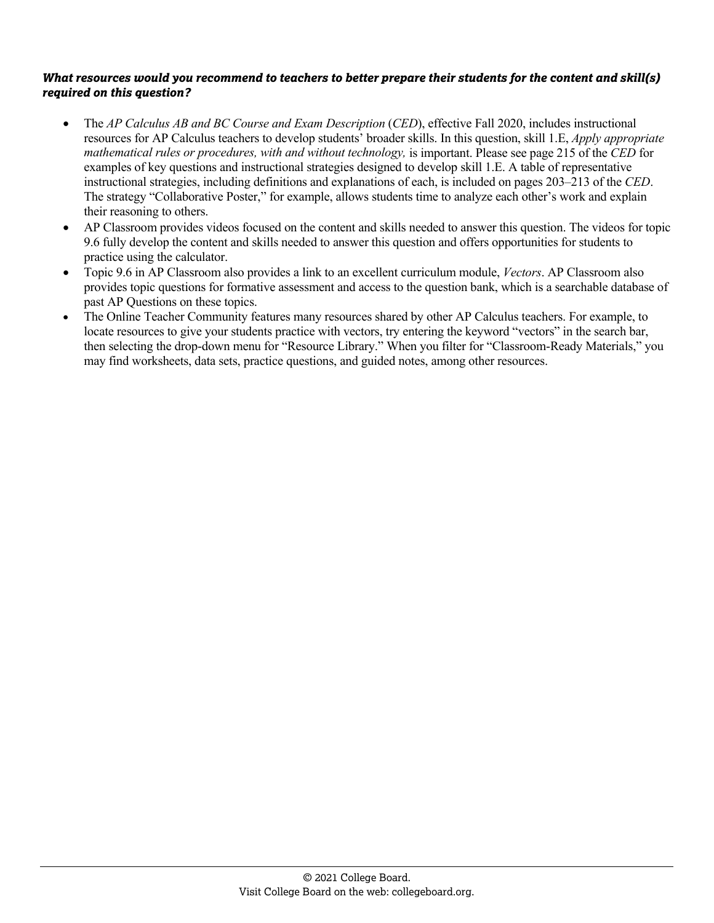- The *AP Calculus AB and BC Course and Exam Description (CED)*, effective Fall 2020, includes instructional resources for AP Calculus teachers to develop students' broader skills. In this question, skill 1.E, *Apply appropriate mathematical rules or procedures, with and without technology,* is important. Please see page 215 of the *CED* for examples of key questions and instructional strategies designed to develop skill 1.E. A table of representative instructional strategies, including definitions and explanations of each, is included on pages 203–213 of the *CED*. The strategy "Collaborative Poster," for example, allows students time to analyze each other's work and explain their reasoning to others.
- AP Classroom provides videos focused on the content and skills needed to answer this question. The videos for topic 9.6 fully develop the content and skills needed to answer this question and offers opportunities for students to practice using the calculator.
- Topic 9.6 in AP Classroom also provides a link to an excellent curriculum module, *Vectors*. AP Classroom also provides topic questions for formative assessment and access to the question bank, which is a searchable database of past AP Questions on these topics.
- The Online Teacher Community features many resources shared by other AP Calculus teachers. For example, to locate resources to give your students practice with vectors, try entering the keyword "vectors" in the search bar, then selecting the drop-down menu for "Resource Library." When you filter for "Classroom-Ready Materials," you may find worksheets, data sets, practice questions, and guided notes, among other resources.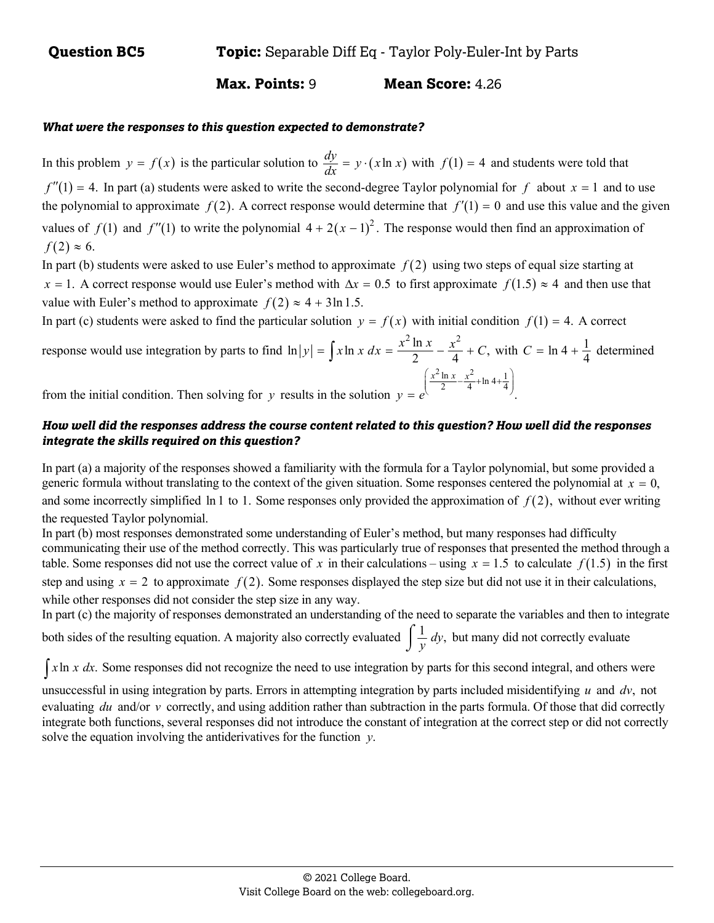## **Max. Points:** 9 **Mean Score:** 4.26

#### *What were the responses to this question expected to demonstrate?*

In this problem  $y = f(x)$  is the particular solution to  $\frac{dy}{dx} = y \cdot (x \ln x)$  with  $f(1) = 4$  and students were told that  $f''(1) = 4$ . In part (a) students were asked to write the second-degree Taylor polynomial for *f* about  $x = 1$  and to use the polynomial to approximate  $f(2)$ . A correct response would determine that  $f'(1) = 0$  and use this value and the given values of  $f(1)$  and  $f''(1)$  to write the polynomial  $4 + 2(x - 1)^2$ . The response would then find an approximation of  $f(2) \approx 6$ .

In part (b) students were asked to use Euler's method to approximate  $f(2)$  using two steps of equal size starting at  $x = 1$ . A correct response would use Euler's method with  $\Delta x = 0.5$  to first approximate  $f(1.5) \approx 4$  and then use that value with Euler's method to approximate  $f(2) \approx 4 + 3 \ln 1.5$ .

In part (c) students were asked to find the particular solution  $y = f(x)$  with initial condition  $f(1) = 4$ . A correct

response would use integration by parts to find 
$$
\ln|y| = \int x \ln x \, dx = \frac{x^2 \ln x}{2} - \frac{x^2}{4} + C
$$
, with  $C = \ln 4 + \frac{1}{4}$  determined from the initial condition. Then solving for y results in the solution  $y = e^{\left(\frac{x^2 \ln x}{2} - \frac{x^2}{4} + \ln 4 + \frac{1}{4}\right)}$ .

#### *How well did the responses address the course content related to this question? How well did the responses integrate the skills required on this question?*

In part (a) a majority of the responses showed a familiarity with the formula for a Taylor polynomial, but some provided a generic formula without translating to the context of the given situation. Some responses centered the polynomial at  $x = 0$ , and some incorrectly simplified  $\ln 1$  to 1. Some responses only provided the approximation of  $f(2)$ , without ever writing the requested Taylor polynomial.

In part (b) most responses demonstrated some understanding of Euler's method, but many responses had difficulty communicating their use of the method correctly. This was particularly true of responses that presented the method through a table. Some responses did not use the correct value of x in their calculations – using  $x = 1.5$  to calculate  $f(1.5)$  in the first step and using  $x = 2$  to approximate  $f(2)$ . Some responses displayed the step size but did not use it in their calculations, while other responses did not consider the step size in any way.

In part (c) the majority of responses demonstrated an understanding of the need to separate the variables and then to integrate

both sides of the resulting equation. A majority also correctly evaluated  $\int \frac{1}{y} dy$ , but many did not correctly evaluate

 $\int x \ln x \, dx$ . Some responses did not recognize the need to use integration by parts for this second integral, and others were

unsuccessful in using integration by parts. Errors in attempting integration by parts included misidentifying  $u$  and  $dv$ , not evaluating *du* and/or *v* correctly, and using addition rather than subtraction in the parts formula. Of those that did correctly integrate both functions, several responses did not introduce the constant of integration at the correct step or did not correctly solve the equation involving the antiderivatives for the function  $y$ .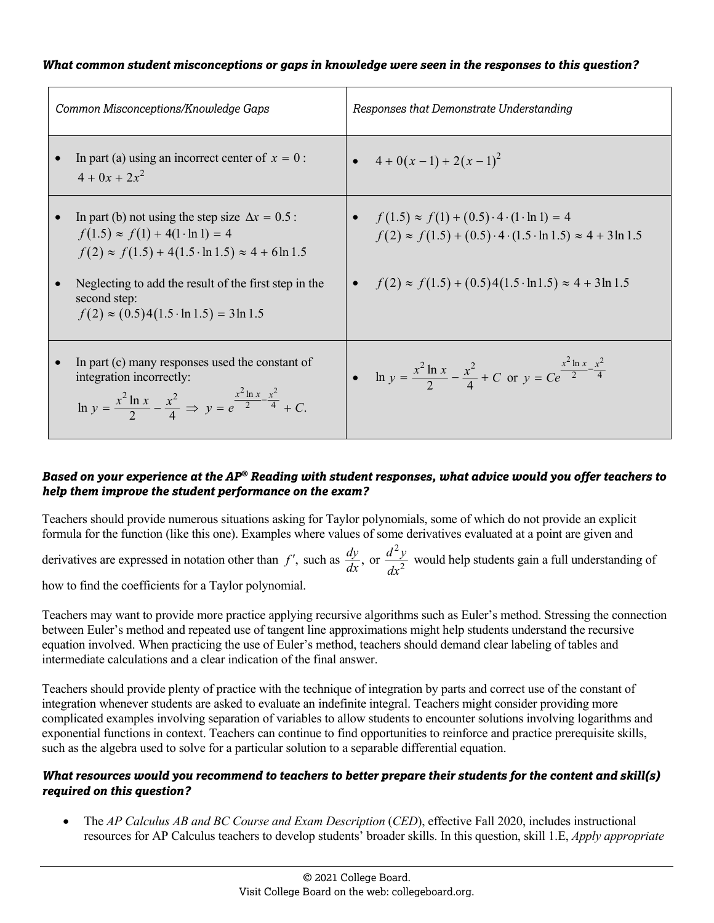| Common Misconceptions/Knowledge Gaps                                                                                                                                                                                                                                                                          | Responses that Demonstrate Understanding                                                                                                                                                                                                |
|---------------------------------------------------------------------------------------------------------------------------------------------------------------------------------------------------------------------------------------------------------------------------------------------------------------|-----------------------------------------------------------------------------------------------------------------------------------------------------------------------------------------------------------------------------------------|
| In part (a) using an incorrect center of $x = 0$ :<br>$4 + 0x + 2x^2$                                                                                                                                                                                                                                         | • $4+0(x-1)+2(x-1)^2$                                                                                                                                                                                                                   |
| In part (b) not using the step size $\Delta x = 0.5$ :<br>$f(1.5) \approx f(1) + 4(1 \cdot \ln 1) = 4$<br>$f(2) \approx f(1.5) + 4(1.5 \cdot \ln 1.5) \approx 4 + 6 \ln 1.5$<br>Neglecting to add the result of the first step in the<br>second step:<br>$f(2) \approx (0.5)4(1.5 \cdot \ln 1.5) = 3 \ln 1.5$ | • $f(1.5) \approx f(1) + (0.5) \cdot 4 \cdot (1 \cdot \ln 1) = 4$<br>$f(2) \approx f(1.5) + (0.5) \cdot 4 \cdot (1.5 \cdot \ln 1.5) \approx 4 + 3 \ln 1.5$<br>• $f(2) \approx f(1.5) + (0.5)4(1.5 \cdot \ln 1.5) \approx 4 + 3 \ln 1.5$ |
| In part (c) many responses used the constant of<br>integration incorrectly:<br>ln $y = \frac{x^2 \ln x}{2} - \frac{x^2}{4} \implies y = e^{\frac{x^2 \ln x}{2} - \frac{x^2}{4}} + C$ .                                                                                                                        | • $\ln y = \frac{x^2 \ln x}{2} - \frac{x^2}{4} + C$ or $y = Ce^{\frac{x^2 \ln x}{2} - \frac{x^2}{4}}$                                                                                                                                   |

#### *Based on your experience at the AP® Reading with student responses, what advice would you offer teachers to help them improve the student performance on the exam?*

Teachers should provide numerous situations asking for Taylor polynomials, some of which do not provide an explicit formula for the function (like this one). Examples where values of some derivatives evaluated at a point are given and

derivatives are expressed in notation other than  $f'$ , such as  $\frac{dy}{dx}$ , or 2 2  $\frac{d^2y}{dx^2}$  would help students gain a full understanding of

how to find the coefficients for a Taylor polynomial.

Teachers may want to provide more practice applying recursive algorithms such as Euler's method. Stressing the connection between Euler's method and repeated use of tangent line approximations might help students understand the recursive equation involved. When practicing the use of Euler's method, teachers should demand clear labeling of tables and intermediate calculations and a clear indication of the final answer.

Teachers should provide plenty of practice with the technique of integration by parts and correct use of the constant of integration whenever students are asked to evaluate an indefinite integral. Teachers might consider providing more complicated examples involving separation of variables to allow students to encounter solutions involving logarithms and exponential functions in context. Teachers can continue to find opportunities to reinforce and practice prerequisite skills, such as the algebra used to solve for a particular solution to a separable differential equation.

## *What resources would you recommend to teachers to better prepare their students for the content and skill(s) required on this question?*

The *AP Calculus AB and BC Course and Exam Description (CED)*, effective Fall 2020, includes instructional resources for AP Calculus teachers to develop students' broader skills. In this question, skill 1.E, *Apply appropriate*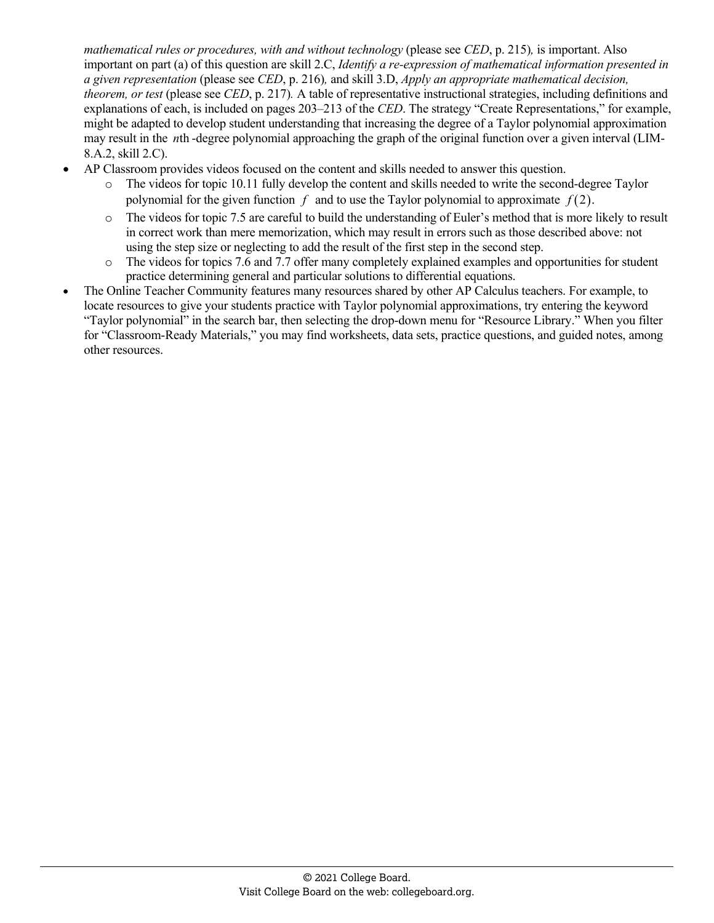*mathematical rules or procedures, with and without technology* (please see *CED*, p. 215)*,* is important. Also important on part (a) of this question are skill 2.C, *Identify a re-expression of mathematical information presented in a given representation* (please see *CED*, p. 216)*,* and skill 3.D, *Apply an appropriate mathematical decision, theorem, or test* (please see *CED*, p. 217)*.* A table of representative instructional strategies, including definitions and explanations of each, is included on pages 203–213 of the *CED*. The strategy "Create Representations," for example, might be adapted to develop student understanding that increasing the degree of a Taylor polynomial approximation may result in the *n*th -degree polynomial approaching the graph of the original function over a given interval (LIM-8.A.2, skill 2.C).

- AP Classroom provides videos focused on the content and skills needed to answer this question.
	- o The videos for topic 10.11 fully develop the content and skills needed to write the second-degree Taylor polynomial for the given function  $f$  and to use the Taylor polynomial to approximate  $f(2)$ .
	- o The videos for topic 7.5 are careful to build the understanding of Euler's method that is more likely to result in correct work than mere memorization, which may result in errors such as those described above: not using the step size or neglecting to add the result of the first step in the second step.
	- o The videos for topics 7.6 and 7.7 offer many completely explained examples and opportunities for student practice determining general and particular solutions to differential equations.
- The Online Teacher Community features many resources shared by other AP Calculus teachers. For example, to locate resources to give your students practice with Taylor polynomial approximations, try entering the keyword "Taylor polynomial" in the search bar, then selecting the drop-down menu for "Resource Library." When you filter for "Classroom-Ready Materials," you may find worksheets, data sets, practice questions, and guided notes, among other resources.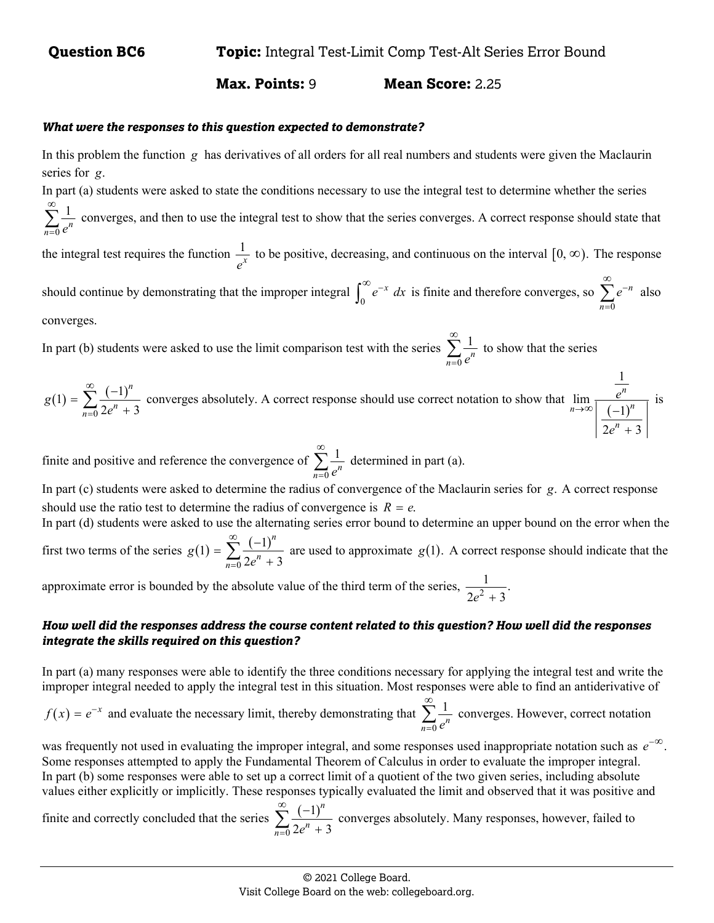0

 **Max. Points:** 9 **Mean Score:** 2.25

#### *What were the responses to this question expected to demonstrate?*

In this problem the function *g* has derivatives of all orders for all real numbers and students were given the Maclaurin series for g.

In part (a) students were asked to state the conditions necessary to use the integral test to determine whether the series  $\infty$ 

1  $\sum_{n=0}$   $e^n$  $\sum_{n=1}^{\infty} \frac{1}{n^n}$  converges, and then to use the integral test to show that the series converges. A correct response should state that

the integral test requires the function  $\frac{1}{2}$ *x e* to be positive, decreasing, and continuous on the interval  $[0, \infty)$ . The response

should continue by demonstrating that the improper integral  $\int_0^\infty e^{-x} dx$  is finite and therefore converges, so  $\sum_{n=0}^\infty$ *n n e* =  $\infty$  $\sum e^{-n}$  also converges.

In part (b) students were asked to use the limit comparison test with the series 0 1  $\sum_{n=0}$   $e^n$  $\infty$  $\sum_{n=1}^{\infty} \frac{1}{n^n}$  to show that the series

 $(1) = \sum_{n=1}^{\infty} \frac{(-1)}{n}$ 0 1 =  $\sum_{1}^{\infty} \frac{(-1)}{n}$  $2e^n + 3$ *n*  $g(1) = \sum_{n=0}^{\infty} \frac{1}{2e^n}$  $=\sum_{n=0}^{\infty}\frac{(-1)^n}{2e^n+3}$  converges absolutely. A correct response should use correct notation to show that  $\lim_{n\to\infty}\frac{e^n}{(-1)^n}$ 1 lim 1  $2e^n + 3$ *n*  $\lim_{n\to\infty}$   $(-1)^n$ *n e e*  $\rightarrow \infty$  (- $^{+}$ is

finite and positive and reference the convergence of  $\boldsymbol{0}$ 1  $\sum_{n=0}$   $e^n$  $\infty$  $\sum \frac{1}{a^n}$  determined in part (a).

In part (c) students were asked to determine the radius of convergence of the Maclaurin series for g. A correct response should use the ratio test to determine the radius of convergence is  $R = e$ .

In part (d) students were asked to use the alternating series error bound to determine an upper bound on the error when the first two terms of the series  $g(1) = \sum_{n=1}^{\infty} \frac{(-1)^n}{n!}$ 0 1 =  $\sum_{1}^{\infty} \frac{(-1)}{n}$  $2e^n + 3$ *n*  $g(1) = \sum_{n=0}^{\infty} \frac{1}{2e^n}$  $=$   $\sum_{n=0}^{\infty} \frac{(-1)^n}{2e^n + 3}$  are used to approximate *g*(1). A correct response should indicate that the

approximate error is bounded by the absolute value of the third term of the series,  $\frac{1}{2e^2 + 3}$ .

## *How well did the responses address the course content related to this question? How well did the responses integrate the skills required on this question?*

In part (a) many responses were able to identify the three conditions necessary for applying the integral test and write the improper integral needed to apply the integral test in this situation. Most responses were able to find an antiderivative of

 $f(x) = e^{-x}$  and evaluate the necessary limit, thereby demonstrating that  $\sum_{n=1}^{\infty} \frac{1}{n}$ 0  $\sum_{n=0}$   $e^n$  $\infty$  $\sum_{n=0}^{\infty}$  converges. However, correct notation

was frequently not used in evaluating the improper integral, and some responses used inappropriate notation such as  $e^{-\infty}$ . Some responses attempted to apply the Fundamental Theorem of Calculus in order to evaluate the improper integral. In part (b) some responses were able to set up a correct limit of a quotient of the two given series, including absolute values either explicitly or implicitly. These responses typically evaluated the limit and observed that it was positive and

finite and correctly concluded that the series  $\sum_{n=1}^{\infty} \frac{(-1)^n}{n!}$ 0 1  $2e^n + 3$ *n*  $\sum_{n=0}$  2e<sup>n</sup>  $\sum_{i=1}^{\infty}$  (- $\sum_{n=0}^{\infty} \frac{(-1)^n}{2e^n + 3}$  converges absolutely. Many responses, however, failed to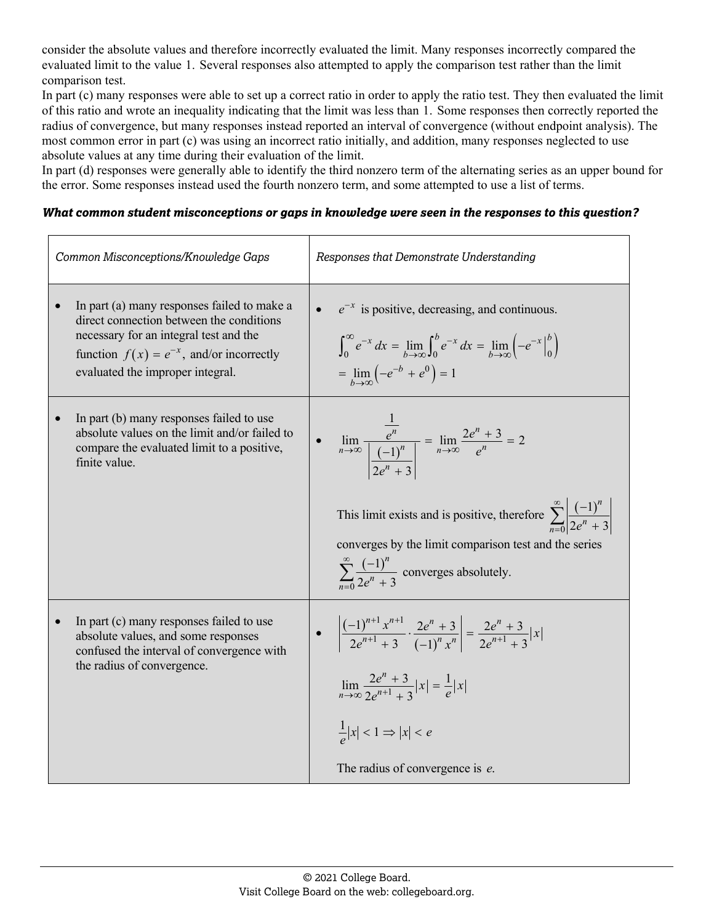consider the absolute values and therefore incorrectly evaluated the limit. Many responses incorrectly compared the evaluated limit to the value 1. Several responses also attempted to apply the comparison test rather than the limit comparison test.

In part (c) many responses were able to set up a correct ratio in order to apply the ratio test. They then evaluated the limit of this ratio and wrote an inequality indicating that the limit was less than 1. Some responses then correctly reported the radius of convergence, but many responses instead reported an interval of convergence (without endpoint analysis). The most common error in part (c) was using an incorrect ratio initially, and addition, many responses neglected to use absolute values at any time during their evaluation of the limit.

In part (d) responses were generally able to identify the third nonzero term of the alternating series as an upper bound for the error. Some responses instead used the fourth nonzero term, and some attempted to use a list of terms.

#### *What common student misconceptions or gaps in knowledge were seen in the responses to this question?*

| Common Misconceptions/Knowledge Gaps                                                                                                                                                                                   | Responses that Demonstrate Understanding                                                                                                                                                                                      |
|------------------------------------------------------------------------------------------------------------------------------------------------------------------------------------------------------------------------|-------------------------------------------------------------------------------------------------------------------------------------------------------------------------------------------------------------------------------|
| In part (a) many responses failed to make a<br>direct connection between the conditions<br>necessary for an integral test and the<br>function $f(x) = e^{-x}$ , and/or incorrectly<br>evaluated the improper integral. | $e^{-x}$ is positive, decreasing, and continuous.<br>$\int_0^{\infty} e^{-x} dx = \lim_{b \to \infty} \int_0^{b} e^{-x} dx = \lim_{b \to \infty} \left( -e^{-x} \Big _0^{b} \right)$<br>$=\lim_{b\to\infty}(-e^{-b}+e^{0})=1$ |
| In part (b) many responses failed to use                                                                                                                                                                               | $\lim_{n \to \infty} \frac{e^n}{\left  \frac{(-1)^n}{2^n} \right } = \lim_{n \to \infty} \frac{2e^n + 3}{e^n} = 2$                                                                                                            |
| absolute values on the limit and/or failed to                                                                                                                                                                          | This limit exists and is positive, therefore $\sum_{n=0}^{\infty} \left  \frac{(-1)^n}{2e^n + 3} \right $                                                                                                                     |
| compare the evaluated limit to a positive,                                                                                                                                                                             | converges by the limit comparison test and the series                                                                                                                                                                         |
| finite value.                                                                                                                                                                                                          | $\sum_{n=2}^{\infty} \frac{(-1)^n}{2a^n+3}$ converges absolutely.                                                                                                                                                             |
| In part (c) many responses failed to use                                                                                                                                                                               | • $\left  \frac{(-1)^{n+1} x^{n+1}}{2e^{n+1} + 3} \cdot \frac{2e^n + 3}{(-1)^n x^n} \right  = \frac{2e^n + 3}{2e^{n+1} + 3}  x $                                                                                              |
| absolute values, and some responses                                                                                                                                                                                    | $\lim_{n\to\infty}\frac{2e^{n}+3}{2e^{n+1}+3} x =\frac{1}{e} x $                                                                                                                                                              |
| confused the interval of convergence with                                                                                                                                                                              | $\frac{1}{a} x  < 1 \Rightarrow  x  < e$                                                                                                                                                                                      |
| the radius of convergence.                                                                                                                                                                                             | The radius of convergence is e.                                                                                                                                                                                               |